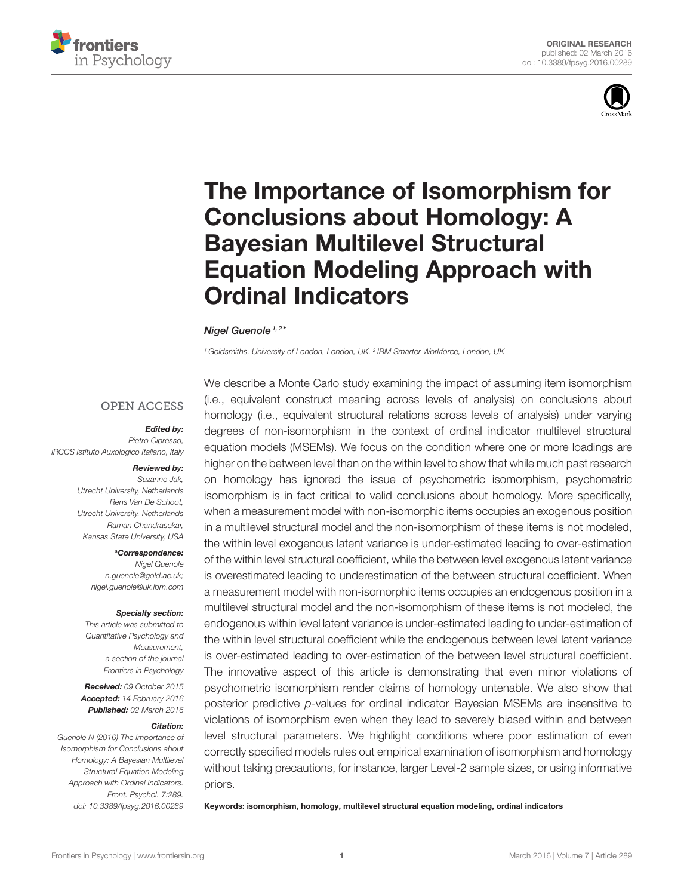



# [The Importance of Isomorphism for](http://journal.frontiersin.org/article/10.3389/fpsyg.2016.00289/abstract) Conclusions about Homology: A Bayesian Multilevel Structural Equation Modeling Approach with Ordinal Indicators

[Nigel Guenole](http://loop.frontiersin.org/people/101612/overview)<sup>1,2\*</sup>

*<sup>1</sup> Goldsmiths, University of London, London, UK, <sup>2</sup> IBM Smarter Workforce, London, UK*

### **OPEN ACCESS**

#### Edited by:

*Pietro Cipresso, IRCCS Istituto Auxologico Italiano, Italy*

#### Reviewed by:

*Suzanne Jak, Utrecht University, Netherlands Rens Van De Schoot, Utrecht University, Netherlands Raman Chandrasekar, Kansas State University, USA*

#### \*Correspondence:

*Nigel Guenole [n.guenole@gold.ac.uk;](mailto:n.guenole@gold.ac.uk) [nigel.guenole@uk.ibm.com](mailto:nigel.guenole@uk.ibm.com)*

#### Specialty section:

*This article was submitted to Quantitative Psychology and Measurement, a section of the journal Frontiers in Psychology*

Received: *09 October 2015* Accepted: *14 February 2016* Published: *02 March 2016*

#### Citation:

*Guenole N (2016) The Importance of Isomorphism for Conclusions about Homology: A Bayesian Multilevel Structural Equation Modeling Approach with Ordinal Indicators. Front. Psychol. 7:289. doi: [10.3389/fpsyg.2016.00289](http://dx.doi.org/10.3389/fpsyg.2016.00289)*

We describe a Monte Carlo study examining the impact of assuming item isomorphism (i.e., equivalent construct meaning across levels of analysis) on conclusions about homology (i.e., equivalent structural relations across levels of analysis) under varying degrees of non-isomorphism in the context of ordinal indicator multilevel structural equation models (MSEMs). We focus on the condition where one or more loadings are higher on the between level than on the within level to show that while much past research on homology has ignored the issue of psychometric isomorphism, psychometric isomorphism is in fact critical to valid conclusions about homology. More specifically, when a measurement model with non-isomorphic items occupies an exogenous position in a multilevel structural model and the non-isomorphism of these items is not modeled, the within level exogenous latent variance is under-estimated leading to over-estimation of the within level structural coefficient, while the between level exogenous latent variance is overestimated leading to underestimation of the between structural coefficient. When a measurement model with non-isomorphic items occupies an endogenous position in a multilevel structural model and the non-isomorphism of these items is not modeled, the endogenous within level latent variance is under-estimated leading to under-estimation of the within level structural coefficient while the endogenous between level latent variance is over-estimated leading to over-estimation of the between level structural coefficient. The innovative aspect of this article is demonstrating that even minor violations of psychometric isomorphism render claims of homology untenable. We also show that posterior predictive *p*-values for ordinal indicator Bayesian MSEMs are insensitive to violations of isomorphism even when they lead to severely biased within and between level structural parameters. We highlight conditions where poor estimation of even correctly specified models rules out empirical examination of isomorphism and homology without taking precautions, for instance, larger Level-2 sample sizes, or using informative priors.

Keywords: isomorphism, homology, multilevel structural equation modeling, ordinal indicators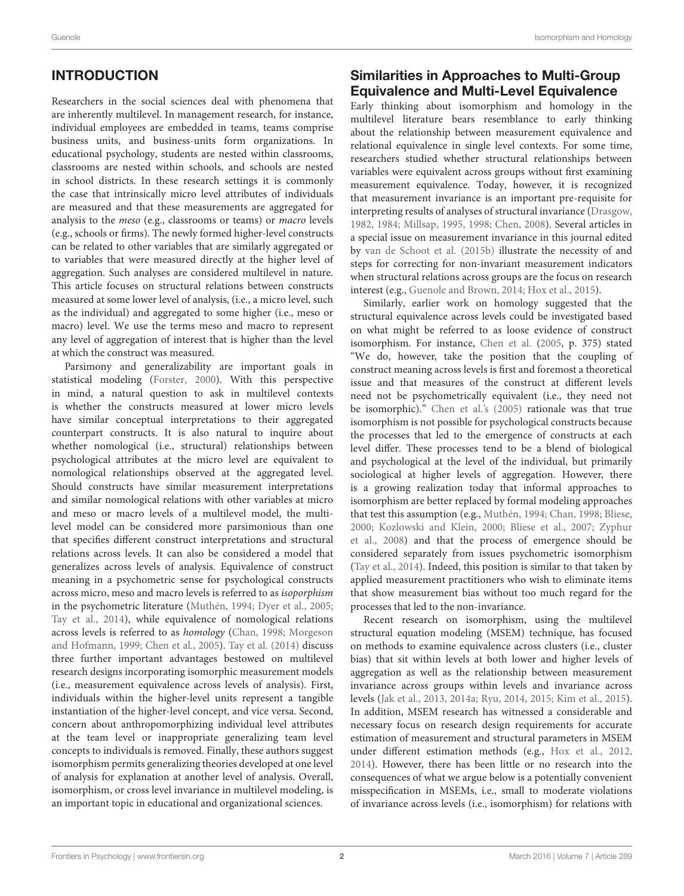# INTRODUCTION

Researchers in the social sciences deal with phenomena that are inherently multilevel. In management research, for instance, individual employees are embedded in teams, teams comprise business units, and business-units form organizations. In educational psychology, students are nested within classrooms, classrooms are nested within schools, and schools are nested in school districts. In these research settings it is commonly the case that intrinsically micro level attributes of individuals are measured and that these measurements are aggregated for analysis to the meso (e.g., classrooms or teams) or macro levels (e.g., schools or firms). The newly formed higher-level constructs can be related to other variables that are similarly aggregated or to variables that were measured directly at the higher level of aggregation. Such analyses are considered multilevel in nature. This article focuses on structural relations between constructs measured at some lower level of analysis, (i.e., a micro level, such as the individual) and aggregated to some higher (i.e., meso or macro) level. We use the terms meso and macro to represent any level of aggregation of interest that is higher than the level at which the construct was measured.

Parsimony and generalizability are important goals in statistical modeling [\(Forster, 2000\)](#page-15-0). With this perspective in mind, a natural question to ask in multilevel contexts is whether the constructs measured at lower micro levels have similar conceptual interpretations to their aggregated counterpart constructs. It is also natural to inquire about whether nomological (i.e., structural) relationships between psychological attributes at the micro level are equivalent to nomological relationships observed at the aggregated level. Should constructs have similar measurement interpretations and similar nomological relations with other variables at micro and meso or macro levels of a multilevel model, the multilevel model can be considered more parsimonious than one that specifies different construct interpretations and structural relations across levels. It can also be considered a model that generalizes across levels of analysis. Equivalence of construct meaning in a psychometric sense for psychological constructs across micro, meso and macro levels is referred to as isoporphism in the psychometric literature [\(Muthén, 1994;](#page-16-0) [Dyer et al., 2005;](#page-15-1) [Tay et al., 2014\)](#page-16-1), while equivalence of nomological relations across levels is referred to as homology [\(Chan, 1998;](#page-15-2) Morgeson and Hofmann, [1999;](#page-16-2) [Chen et al., 2005\)](#page-15-3). [Tay et al. \(2014\)](#page-16-1) discuss three further important advantages bestowed on multilevel research designs incorporating isomorphic measurement models (i.e., measurement equivalence across levels of analysis). First, individuals within the higher-level units represent a tangible instantiation of the higher-level concept, and vice versa. Second, concern about anthropomorphizing individual level attributes at the team level or inappropriate generalizing team level concepts to individuals is removed. Finally, these authors suggest isomorphism permits generalizing theories developed at one level of analysis for explanation at another level of analysis. Overall, isomorphism, or cross level invariance in multilevel modeling, is an important topic in educational and organizational sciences.

# Similarities in Approaches to Multi-Group Equivalence and Multi-Level Equivalence

Early thinking about isomorphism and homology in the multilevel literature bears resemblance to early thinking about the relationship between measurement equivalence and relational equivalence in single level contexts. For some time, researchers studied whether structural relationships between variables were equivalent across groups without first examining measurement equivalence. Today, however, it is recognized that measurement invariance is an important pre-requisite for interpreting results of analyses of structural invariance [\(Drasgow,](#page-15-4) [1982,](#page-15-4) [1984;](#page-15-5) [Millsap, 1995,](#page-16-3) [1998;](#page-16-4) [Chen, 2008\)](#page-15-6). Several articles in a special issue on measurement invariance in this journal edited by [van de Schoot et al. \(2015b\)](#page-16-5) illustrate the necessity of and steps for correcting for non-invariant measurement indicators when structural relations across groups are the focus on research interest (e.g., [Guenole and Brown, 2014;](#page-15-7) [Hox et al., 2015\)](#page-15-8).

Similarly, earlier work on homology suggested that the structural equivalence across levels could be investigated based on what might be referred to as loose evidence of construct isomorphism. For instance, [Chen et al.](#page-15-3) [\(2005,](#page-15-3) p. 375) stated "We do, however, take the position that the coupling of construct meaning across levels is first and foremost a theoretical issue and that measures of the construct at different levels need not be psychometrically equivalent (i.e., they need not be isomorphic)." [Chen et al.'s \(2005\)](#page-15-3) rationale was that true isomorphism is not possible for psychological constructs because the processes that led to the emergence of constructs at each level differ. These processes tend to be a blend of biological and psychological at the level of the individual, but primarily sociological at higher levels of aggregation. However, there is a growing realization today that informal approaches to isomorphism are better replaced by formal modeling approaches that test this assumption (e.g., [Muthén, 1994;](#page-16-0) [Chan, 1998;](#page-15-2) [Bliese,](#page-15-9) [2000;](#page-15-9) [Kozlowski and Klein, 2000;](#page-15-10) [Bliese et al., 2007;](#page-15-11) Zyphur et al., [2008\)](#page-16-6) and that the process of emergence should be considered separately from issues psychometric isomorphism [\(Tay et al., 2014\)](#page-16-1). Indeed, this position is similar to that taken by applied measurement practitioners who wish to eliminate items that show measurement bias without too much regard for the processes that led to the non-invariance.

Recent research on isomorphism, using the multilevel structural equation modeling (MSEM) technique, has focused on methods to examine equivalence across clusters (i.e., cluster bias) that sit within levels at both lower and higher levels of aggregation as well as the relationship between measurement invariance across groups within levels and invariance across levels [\(Jak et al., 2013,](#page-15-12) [2014a;](#page-15-13) [Ryu, 2014,](#page-16-7) [2015;](#page-16-8) [Kim et al., 2015\)](#page-15-14). In addition, MSEM research has witnessed a considerable and necessary focus on research design requirements for accurate estimation of measurement and structural parameters in MSEM under different estimation methods (e.g., [Hox et al., 2012,](#page-15-15) [2014\)](#page-15-16). However, there has been little or no research into the consequences of what we argue below is a potentially convenient misspecification in MSEMs, i.e., small to moderate violations of invariance across levels (i.e., isomorphism) for relations with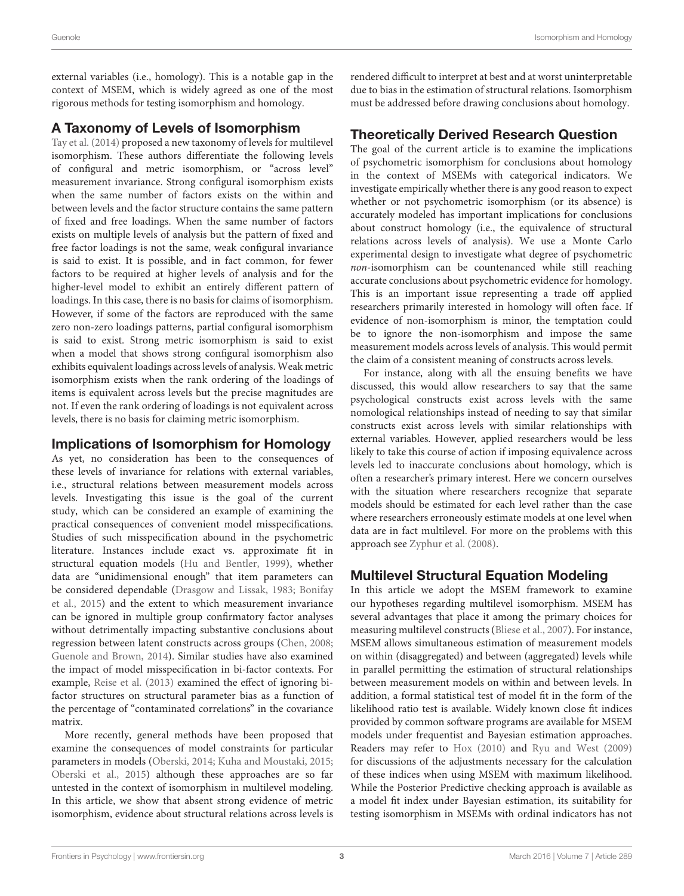external variables (i.e., homology). This is a notable gap in the context of MSEM, which is widely agreed as one of the most rigorous methods for testing isomorphism and homology.

### A Taxonomy of Levels of Isomorphism

[Tay et al. \(2014\)](#page-16-1) proposed a new taxonomy of levels for multilevel isomorphism. These authors differentiate the following levels of configural and metric isomorphism, or "across level" measurement invariance. Strong configural isomorphism exists when the same number of factors exists on the within and between levels and the factor structure contains the same pattern of fixed and free loadings. When the same number of factors exists on multiple levels of analysis but the pattern of fixed and free factor loadings is not the same, weak configural invariance is said to exist. It is possible, and in fact common, for fewer factors to be required at higher levels of analysis and for the higher-level model to exhibit an entirely different pattern of loadings. In this case, there is no basis for claims of isomorphism. However, if some of the factors are reproduced with the same zero non-zero loadings patterns, partial configural isomorphism is said to exist. Strong metric isomorphism is said to exist when a model that shows strong configural isomorphism also exhibits equivalent loadings across levels of analysis. Weak metric isomorphism exists when the rank ordering of the loadings of items is equivalent across levels but the precise magnitudes are not. If even the rank ordering of loadings is not equivalent across levels, there is no basis for claiming metric isomorphism.

### Implications of Isomorphism for Homology

As yet, no consideration has been to the consequences of these levels of invariance for relations with external variables, i.e., structural relations between measurement models across levels. Investigating this issue is the goal of the current study, which can be considered an example of examining the practical consequences of convenient model misspecifications. Studies of such misspecification abound in the psychometric literature. Instances include exact vs. approximate fit in structural equation models [\(Hu and Bentler, 1999\)](#page-15-17), whether data are "unidimensional enough" that item parameters can be considered dependable [\(Drasgow and Lissak, 1983;](#page-15-18) Bonifay et al., [2015\)](#page-15-19) and the extent to which measurement invariance can be ignored in multiple group confirmatory factor analyses without detrimentally impacting substantive conclusions about regression between latent constructs across groups [\(Chen, 2008;](#page-15-6) [Guenole and Brown, 2014\)](#page-15-7). Similar studies have also examined the impact of model misspecification in bi-factor contexts. For example, [Reise et al. \(2013\)](#page-16-9) examined the effect of ignoring bifactor structures on structural parameter bias as a function of the percentage of "contaminated correlations" in the covariance matrix.

More recently, general methods have been proposed that examine the consequences of model constraints for particular parameters in models [\(Oberski, 2014;](#page-16-10) [Kuha and Moustaki, 2015;](#page-15-20) [Oberski et al., 2015\)](#page-16-11) although these approaches are so far untested in the context of isomorphism in multilevel modeling. In this article, we show that absent strong evidence of metric isomorphism, evidence about structural relations across levels is rendered difficult to interpret at best and at worst uninterpretable due to bias in the estimation of structural relations. Isomorphism must be addressed before drawing conclusions about homology.

### Theoretically Derived Research Question

The goal of the current article is to examine the implications of psychometric isomorphism for conclusions about homology in the context of MSEMs with categorical indicators. We investigate empirically whether there is any good reason to expect whether or not psychometric isomorphism (or its absence) is accurately modeled has important implications for conclusions about construct homology (i.e., the equivalence of structural relations across levels of analysis). We use a Monte Carlo experimental design to investigate what degree of psychometric non-isomorphism can be countenanced while still reaching accurate conclusions about psychometric evidence for homology. This is an important issue representing a trade off applied researchers primarily interested in homology will often face. If evidence of non-isomorphism is minor, the temptation could be to ignore the non-isomorphism and impose the same measurement models across levels of analysis. This would permit the claim of a consistent meaning of constructs across levels.

For instance, along with all the ensuing benefits we have discussed, this would allow researchers to say that the same psychological constructs exist across levels with the same nomological relationships instead of needing to say that similar constructs exist across levels with similar relationships with external variables. However, applied researchers would be less likely to take this course of action if imposing equivalence across levels led to inaccurate conclusions about homology, which is often a researcher's primary interest. Here we concern ourselves with the situation where researchers recognize that separate models should be estimated for each level rather than the case where researchers erroneously estimate models at one level when data are in fact multilevel. For more on the problems with this approach see [Zyphur et al. \(2008\)](#page-16-6).

### Multilevel Structural Equation Modeling

In this article we adopt the MSEM framework to examine our hypotheses regarding multilevel isomorphism. MSEM has several advantages that place it among the primary choices for measuring multilevel constructs [\(Bliese et al., 2007\)](#page-15-11). For instance, MSEM allows simultaneous estimation of measurement models on within (disaggregated) and between (aggregated) levels while in parallel permitting the estimation of structural relationships between measurement models on within and between levels. In addition, a formal statistical test of model fit in the form of the likelihood ratio test is available. Widely known close fit indices provided by common software programs are available for MSEM models under frequentist and Bayesian estimation approaches. Readers may refer to [Hox \(2010\)](#page-15-21) and [Ryu and West \(2009\)](#page-16-12) for discussions of the adjustments necessary for the calculation of these indices when using MSEM with maximum likelihood. While the Posterior Predictive checking approach is available as a model fit index under Bayesian estimation, its suitability for testing isomorphism in MSEMs with ordinal indicators has not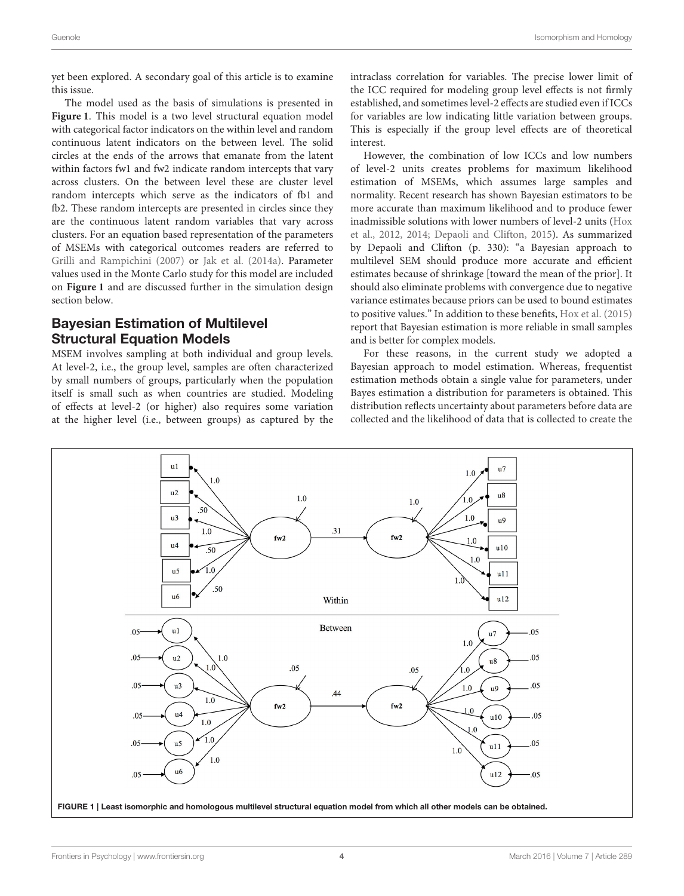yet been explored. A secondary goal of this article is to examine this issue.

The model used as the basis of simulations is presented in **[Figure 1](#page-3-0)**. This model is a two level structural equation model with categorical factor indicators on the within level and random continuous latent indicators on the between level. The solid circles at the ends of the arrows that emanate from the latent within factors fw1 and fw2 indicate random intercepts that vary across clusters. On the between level these are cluster level random intercepts which serve as the indicators of fb1 and fb2. These random intercepts are presented in circles since they are the continuous latent random variables that vary across clusters. For an equation based representation of the parameters of MSEMs with categorical outcomes readers are referred to [Grilli and Rampichini \(2007\)](#page-15-22) or [Jak et al. \(2014a\)](#page-15-13). Parameter values used in the Monte Carlo study for this model are included on **[Figure 1](#page-3-0)** and are discussed further in the simulation design section below.

### Bayesian Estimation of Multilevel Structural Equation Models

MSEM involves sampling at both individual and group levels. At level-2, i.e., the group level, samples are often characterized by small numbers of groups, particularly when the population itself is small such as when countries are studied. Modeling of effects at level-2 (or higher) also requires some variation at the higher level (i.e., between groups) as captured by the intraclass correlation for variables. The precise lower limit of the ICC required for modeling group level effects is not firmly established, and sometimes level-2 effects are studied even if ICCs for variables are low indicating little variation between groups. This is especially if the group level effects are of theoretical interest.

However, the combination of low ICCs and low numbers of level-2 units creates problems for maximum likelihood estimation of MSEMs, which assumes large samples and normality. Recent research has shown Bayesian estimators to be more accurate than maximum likelihood and to produce fewer inadmissible solutions with lower numbers of level-2 units (Hox et al., [2012,](#page-15-15) [2014;](#page-15-16) [Depaoli and Clifton, 2015\)](#page-15-23). As summarized by Depaoli and Clifton (p. 330): "a Bayesian approach to multilevel SEM should produce more accurate and efficient estimates because of shrinkage [toward the mean of the prior]. It should also eliminate problems with convergence due to negative variance estimates because priors can be used to bound estimates to positive values." In addition to these benefits, [Hox et al. \(2015\)](#page-15-8) report that Bayesian estimation is more reliable in small samples and is better for complex models.

For these reasons, in the current study we adopted a Bayesian approach to model estimation. Whereas, frequentist estimation methods obtain a single value for parameters, under Bayes estimation a distribution for parameters is obtained. This distribution reflects uncertainty about parameters before data are collected and the likelihood of data that is collected to create the

<span id="page-3-0"></span>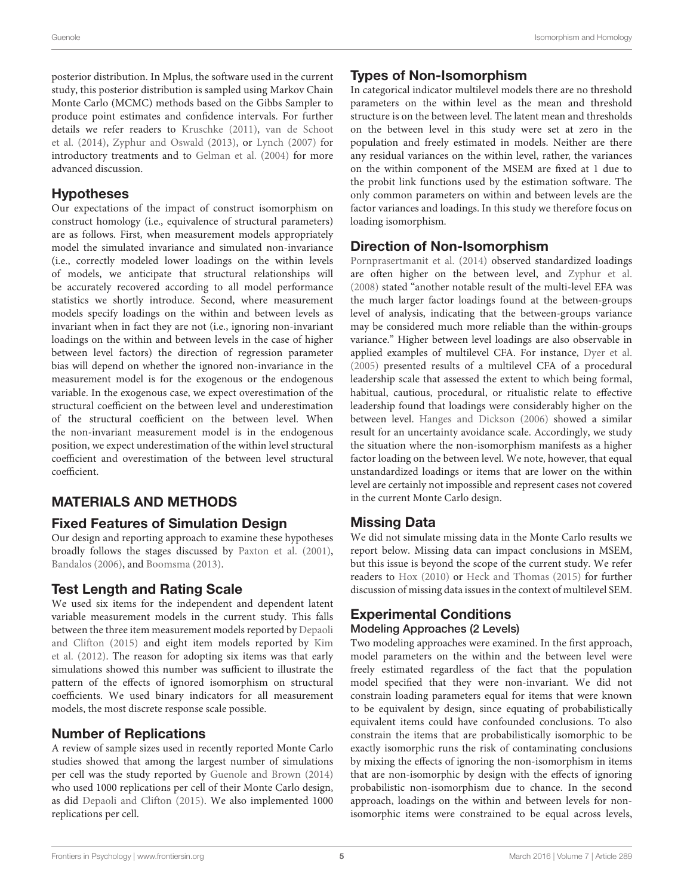posterior distribution. In Mplus, the software used in the current study, this posterior distribution is sampled using Markov Chain Monte Carlo (MCMC) methods based on the Gibbs Sampler to produce point estimates and confidence intervals. For further details we refer readers to [Kruschke \(2011\)](#page-15-24), van de Schoot et al. [\(2014\)](#page-16-13), [Zyphur and Oswald \(2013\)](#page-16-14), or [Lynch \(2007\)](#page-15-25) for introductory treatments and to [Gelman et al. \(2004\)](#page-15-26) for more advanced discussion.

### Hypotheses

Our expectations of the impact of construct isomorphism on construct homology (i.e., equivalence of structural parameters) are as follows. First, when measurement models appropriately model the simulated invariance and simulated non-invariance (i.e., correctly modeled lower loadings on the within levels of models, we anticipate that structural relationships will be accurately recovered according to all model performance statistics we shortly introduce. Second, where measurement models specify loadings on the within and between levels as invariant when in fact they are not (i.e., ignoring non-invariant loadings on the within and between levels in the case of higher between level factors) the direction of regression parameter bias will depend on whether the ignored non-invariance in the measurement model is for the exogenous or the endogenous variable. In the exogenous case, we expect overestimation of the structural coefficient on the between level and underestimation of the structural coefficient on the between level. When the non-invariant measurement model is in the endogenous position, we expect underestimation of the within level structural coefficient and overestimation of the between level structural coefficient.

# MATERIALS AND METHODS

### Fixed Features of Simulation Design

Our design and reporting approach to examine these hypotheses broadly follows the stages discussed by [Paxton et al. \(2001\)](#page-16-15), [Bandalos \(2006\)](#page-15-27), and [Boomsma \(2013\)](#page-15-28).

# Test Length and Rating Scale

We used six items for the independent and dependent latent variable measurement models in the current study. This falls between the three item measurement models reported by Depaoli and Clifton [\(2015\)](#page-15-23) and eight item models reported by Kim et al. [\(2012\)](#page-15-29). The reason for adopting six items was that early simulations showed this number was sufficient to illustrate the pattern of the effects of ignored isomorphism on structural coefficients. We used binary indicators for all measurement models, the most discrete response scale possible.

### Number of Replications

A review of sample sizes used in recently reported Monte Carlo studies showed that among the largest number of simulations per cell was the study reported by [Guenole and Brown \(2014\)](#page-15-7) who used 1000 replications per cell of their Monte Carlo design, as did [Depaoli and Clifton \(2015\)](#page-15-23). We also implemented 1000 replications per cell.

# Types of Non-Isomorphism

In categorical indicator multilevel models there are no threshold parameters on the within level as the mean and threshold structure is on the between level. The latent mean and thresholds on the between level in this study were set at zero in the population and freely estimated in models. Neither are there any residual variances on the within level, rather, the variances on the within component of the MSEM are fixed at 1 due to the probit link functions used by the estimation software. The only common parameters on within and between levels are the factor variances and loadings. In this study we therefore focus on loading isomorphism.

### Direction of Non-Isomorphism

[Pornprasertmanit et al. \(2014\)](#page-16-16) observed standardized loadings are often higher on the between level, and [Zyphur et al.](#page-16-6) [\(2008\)](#page-16-6) stated "another notable result of the multi-level EFA was the much larger factor loadings found at the between-groups level of analysis, indicating that the between-groups variance may be considered much more reliable than the within-groups variance." Higher between level loadings are also observable in applied examples of multilevel CFA. For instance, [Dyer et al.](#page-15-1) [\(2005\)](#page-15-1) presented results of a multilevel CFA of a procedural leadership scale that assessed the extent to which being formal, habitual, cautious, procedural, or ritualistic relate to effective leadership found that loadings were considerably higher on the between level. [Hanges and Dickson \(2006\)](#page-15-30) showed a similar result for an uncertainty avoidance scale. Accordingly, we study the situation where the non-isomorphism manifests as a higher factor loading on the between level. We note, however, that equal unstandardized loadings or items that are lower on the within level are certainly not impossible and represent cases not covered in the current Monte Carlo design.

### Missing Data

We did not simulate missing data in the Monte Carlo results we report below. Missing data can impact conclusions in MSEM, but this issue is beyond the scope of the current study. We refer readers to [Hox \(2010\)](#page-15-21) or [Heck and Thomas \(2015\)](#page-15-31) for further discussion of missing data issues in the context of multilevel SEM.

# Experimental Conditions

### Modeling Approaches (2 Levels)

Two modeling approaches were examined. In the first approach, model parameters on the within and the between level were freely estimated regardless of the fact that the population model specified that they were non-invariant. We did not constrain loading parameters equal for items that were known to be equivalent by design, since equating of probabilistically equivalent items could have confounded conclusions. To also constrain the items that are probabilistically isomorphic to be exactly isomorphic runs the risk of contaminating conclusions by mixing the effects of ignoring the non-isomorphism in items that are non-isomorphic by design with the effects of ignoring probabilistic non-isomorphism due to chance. In the second approach, loadings on the within and between levels for nonisomorphic items were constrained to be equal across levels,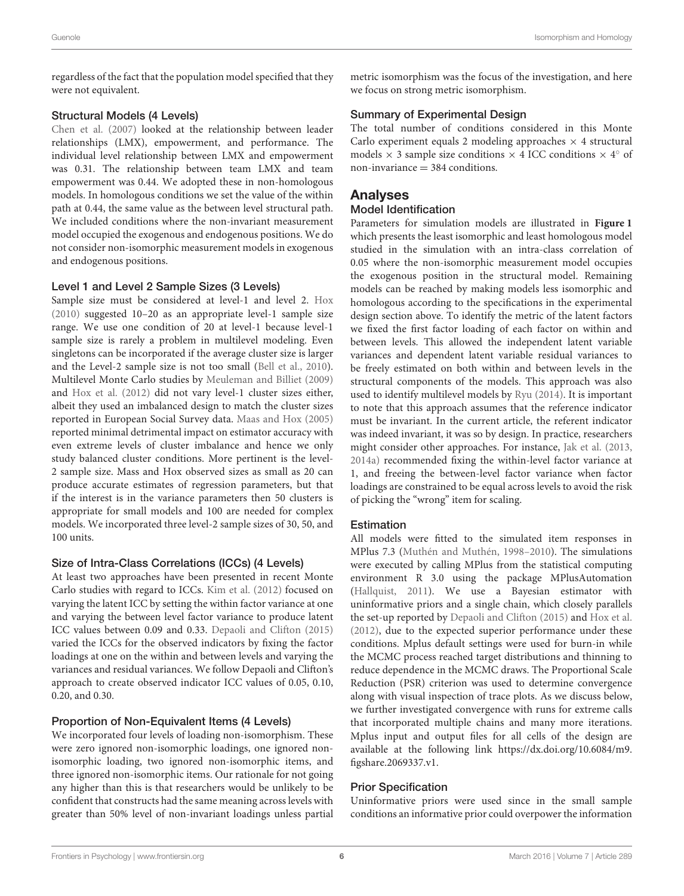regardless of the fact that the population model specified that they were not equivalent.

#### Structural Models (4 Levels)

[Chen et al. \(2007\)](#page-15-32) looked at the relationship between leader relationships (LMX), empowerment, and performance. The individual level relationship between LMX and empowerment was 0.31. The relationship between team LMX and team empowerment was 0.44. We adopted these in non-homologous models. In homologous conditions we set the value of the within path at 0.44, the same value as the between level structural path. We included conditions where the non-invariant measurement model occupied the exogenous and endogenous positions. We do not consider non-isomorphic measurement models in exogenous and endogenous positions.

#### Level 1 and Level 2 Sample Sizes (3 Levels)

Sample size must be considered at level-1 and level 2. [Hox](#page-15-21) [\(2010\)](#page-15-21) suggested 10–20 as an appropriate level-1 sample size range. We use one condition of 20 at level-1 because level-1 sample size is rarely a problem in multilevel modeling. Even singletons can be incorporated if the average cluster size is larger and the Level-2 sample size is not too small [\(Bell et al., 2010\)](#page-15-33). Multilevel Monte Carlo studies by [Meuleman and Billiet \(2009\)](#page-16-17) and [Hox et al. \(2012\)](#page-15-15) did not vary level-1 cluster sizes either, albeit they used an imbalanced design to match the cluster sizes reported in European Social Survey data. [Maas and Hox \(2005\)](#page-16-18) reported minimal detrimental impact on estimator accuracy with even extreme levels of cluster imbalance and hence we only study balanced cluster conditions. More pertinent is the level-2 sample size. Mass and Hox observed sizes as small as 20 can produce accurate estimates of regression parameters, but that if the interest is in the variance parameters then 50 clusters is appropriate for small models and 100 are needed for complex models. We incorporated three level-2 sample sizes of 30, 50, and 100 units.

#### Size of Intra-Class Correlations (ICCs) (4 Levels)

At least two approaches have been presented in recent Monte Carlo studies with regard to ICCs. [Kim et al. \(2012\)](#page-15-29) focused on varying the latent ICC by setting the within factor variance at one and varying the between level factor variance to produce latent ICC values between 0.09 and 0.33. [Depaoli and Clifton \(2015\)](#page-15-23) varied the ICCs for the observed indicators by fixing the factor loadings at one on the within and between levels and varying the variances and residual variances. We follow Depaoli and Clifton's approach to create observed indicator ICC values of 0.05, 0.10, 0.20, and 0.30.

#### Proportion of Non-Equivalent Items (4 Levels)

We incorporated four levels of loading non-isomorphism. These were zero ignored non-isomorphic loadings, one ignored nonisomorphic loading, two ignored non-isomorphic items, and three ignored non-isomorphic items. Our rationale for not going any higher than this is that researchers would be unlikely to be confident that constructs had the same meaning across levels with greater than 50% level of non-invariant loadings unless partial metric isomorphism was the focus of the investigation, and here we focus on strong metric isomorphism.

#### Summary of Experimental Design

The total number of conditions considered in this Monte Carlo experiment equals 2 modeling approaches  $\times$  4 structural models  $\times$  3 sample size conditions  $\times$  4 ICC conditions  $\times$  4 $\degree$  of  $non-invariance = 384$  conditions.

### Analyses

#### Model Identification

Parameters for simulation models are illustrated in **[Figure 1](#page-3-0)** which presents the least isomorphic and least homologous model studied in the simulation with an intra-class correlation of 0.05 where the non-isomorphic measurement model occupies the exogenous position in the structural model. Remaining models can be reached by making models less isomorphic and homologous according to the specifications in the experimental design section above. To identify the metric of the latent factors we fixed the first factor loading of each factor on within and between levels. This allowed the independent latent variable variances and dependent latent variable residual variances to be freely estimated on both within and between levels in the structural components of the models. This approach was also used to identify multilevel models by [Ryu \(2014\)](#page-16-7). It is important to note that this approach assumes that the reference indicator must be invariant. In the current article, the referent indicator was indeed invariant, it was so by design. In practice, researchers might consider other approaches. For instance, [Jak et al. \(2013,](#page-15-12) [2014a\)](#page-15-13) recommended fixing the within-level factor variance at 1, and freeing the between-level factor variance when factor loadings are constrained to be equal across levels to avoid the risk of picking the "wrong" item for scaling.

#### **Estimation**

All models were fitted to the simulated item responses in MPlus 7.3 [\(Muthén and Muthén, 1998–2010\)](#page-16-19). The simulations were executed by calling MPlus from the statistical computing environment R 3.0 using the package MPlusAutomation [\(Hallquist, 2011\)](#page-15-34). We use a Bayesian estimator with uninformative priors and a single chain, which closely parallels the set-up reported by [Depaoli and Clifton \(2015\)](#page-15-23) and [Hox et al.](#page-15-15) [\(2012\)](#page-15-15), due to the expected superior performance under these conditions. Mplus default settings were used for burn-in while the MCMC process reached target distributions and thinning to reduce dependence in the MCMC draws. The Proportional Scale Reduction (PSR) criterion was used to determine convergence along with visual inspection of trace plots. As we discuss below, we further investigated convergence with runs for extreme calls that incorporated multiple chains and many more iterations. Mplus input and output files for all cells of the design are available at the following link [https://dx.doi.org/10.6084/m9.](https://dx.doi.org/10.6084/m9.figshare.2069337.v1) [figshare.2069337.v1.](https://dx.doi.org/10.6084/m9.figshare.2069337.v1)

#### Prior Specification

Uninformative priors were used since in the small sample conditions an informative prior could overpower the information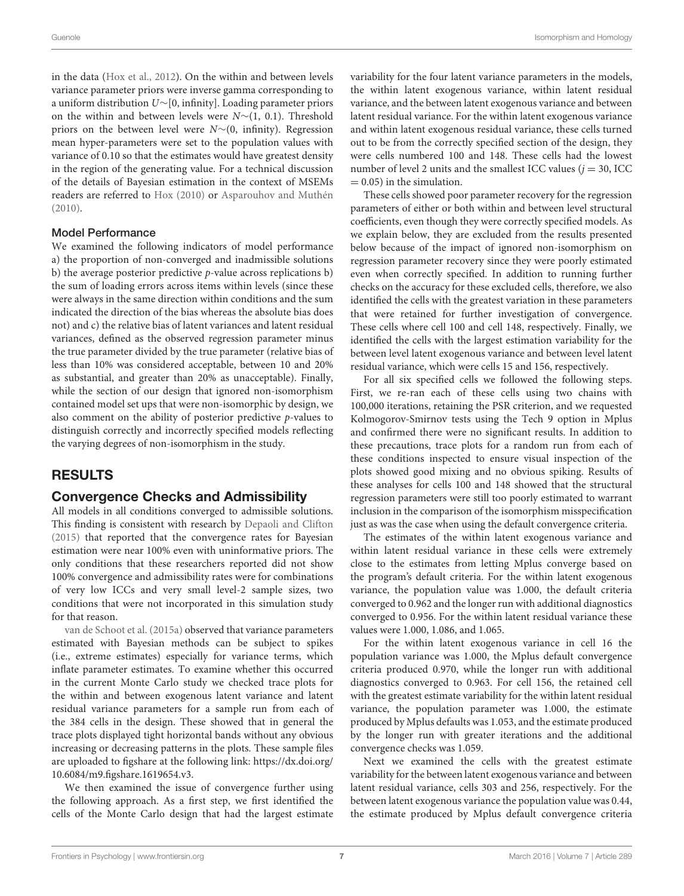in the data [\(Hox et al., 2012\)](#page-15-15). On the within and between levels variance parameter priors were inverse gamma corresponding to a uniform distribution U∼[0, infinity]. Loading parameter priors on the within and between levels were N∼(1, 0.1). Threshold priors on the between level were N∼(0, infinity). Regression mean hyper-parameters were set to the population values with variance of 0.10 so that the estimates would have greatest density in the region of the generating value. For a technical discussion of the details of Bayesian estimation in the context of MSEMs readers are referred to [Hox \(2010\)](#page-15-21) or [Asparouhov and Muthén](#page-15-35) [\(2010\)](#page-15-35).

#### Model Performance

We examined the following indicators of model performance a) the proportion of non-converged and inadmissible solutions b) the average posterior predictive  $p$ -value across replications b) the sum of loading errors across items within levels (since these were always in the same direction within conditions and the sum indicated the direction of the bias whereas the absolute bias does not) and c) the relative bias of latent variances and latent residual variances, defined as the observed regression parameter minus the true parameter divided by the true parameter (relative bias of less than 10% was considered acceptable, between 10 and 20% as substantial, and greater than 20% as unacceptable). Finally, while the section of our design that ignored non-isomorphism contained model set ups that were non-isomorphic by design, we also comment on the ability of posterior predictive  $p$ -values to distinguish correctly and incorrectly specified models reflecting the varying degrees of non-isomorphism in the study.

### RESULTS

#### Convergence Checks and Admissibility

All models in all conditions converged to admissible solutions. This finding is consistent with research by [Depaoli and Clifton](#page-15-23) [\(2015\)](#page-15-23) that reported that the convergence rates for Bayesian estimation were near 100% even with uninformative priors. The only conditions that these researchers reported did not show 100% convergence and admissibility rates were for combinations of very low ICCs and very small level-2 sample sizes, two conditions that were not incorporated in this simulation study for that reason.

[van de Schoot et al. \(2015a\)](#page-16-20) observed that variance parameters estimated with Bayesian methods can be subject to spikes (i.e., extreme estimates) especially for variance terms, which inflate parameter estimates. To examine whether this occurred in the current Monte Carlo study we checked trace plots for the within and between exogenous latent variance and latent residual variance parameters for a sample run from each of the 384 cells in the design. These showed that in general the trace plots displayed tight horizontal bands without any obvious increasing or decreasing patterns in the plots. These sample files are uploaded to figshare at the following link: [https://dx.doi.org/](https://dx.doi.org/10.6084/m9.figshare.1619654.v3) [10.6084/m9.figshare.1619654.v3.](https://dx.doi.org/10.6084/m9.figshare.1619654.v3)

We then examined the issue of convergence further using the following approach. As a first step, we first identified the cells of the Monte Carlo design that had the largest estimate variability for the four latent variance parameters in the models, the within latent exogenous variance, within latent residual variance, and the between latent exogenous variance and between latent residual variance. For the within latent exogenous variance and within latent exogenous residual variance, these cells turned out to be from the correctly specified section of the design, they were cells numbered 100 and 148. These cells had the lowest number of level 2 units and the smallest ICC values ( $i = 30$ , ICC  $= 0.05$ ) in the simulation.

These cells showed poor parameter recovery for the regression parameters of either or both within and between level structural coefficients, even though they were correctly specified models. As we explain below, they are excluded from the results presented below because of the impact of ignored non-isomorphism on regression parameter recovery since they were poorly estimated even when correctly specified. In addition to running further checks on the accuracy for these excluded cells, therefore, we also identified the cells with the greatest variation in these parameters that were retained for further investigation of convergence. These cells where cell 100 and cell 148, respectively. Finally, we identified the cells with the largest estimation variability for the between level latent exogenous variance and between level latent residual variance, which were cells 15 and 156, respectively.

For all six specified cells we followed the following steps. First, we re-ran each of these cells using two chains with 100,000 iterations, retaining the PSR criterion, and we requested Kolmogorov-Smirnov tests using the Tech 9 option in Mplus and confirmed there were no significant results. In addition to these precautions, trace plots for a random run from each of these conditions inspected to ensure visual inspection of the plots showed good mixing and no obvious spiking. Results of these analyses for cells 100 and 148 showed that the structural regression parameters were still too poorly estimated to warrant inclusion in the comparison of the isomorphism misspecification just as was the case when using the default convergence criteria.

The estimates of the within latent exogenous variance and within latent residual variance in these cells were extremely close to the estimates from letting Mplus converge based on the program's default criteria. For the within latent exogenous variance, the population value was 1.000, the default criteria converged to 0.962 and the longer run with additional diagnostics converged to 0.956. For the within latent residual variance these values were 1.000, 1.086, and 1.065.

For the within latent exogenous variance in cell 16 the population variance was 1.000, the Mplus default convergence criteria produced 0.970, while the longer run with additional diagnostics converged to 0.963. For cell 156, the retained cell with the greatest estimate variability for the within latent residual variance, the population parameter was 1.000, the estimate produced by Mplus defaults was 1.053, and the estimate produced by the longer run with greater iterations and the additional convergence checks was 1.059.

Next we examined the cells with the greatest estimate variability for the between latent exogenous variance and between latent residual variance, cells 303 and 256, respectively. For the between latent exogenous variance the population value was 0.44, the estimate produced by Mplus default convergence criteria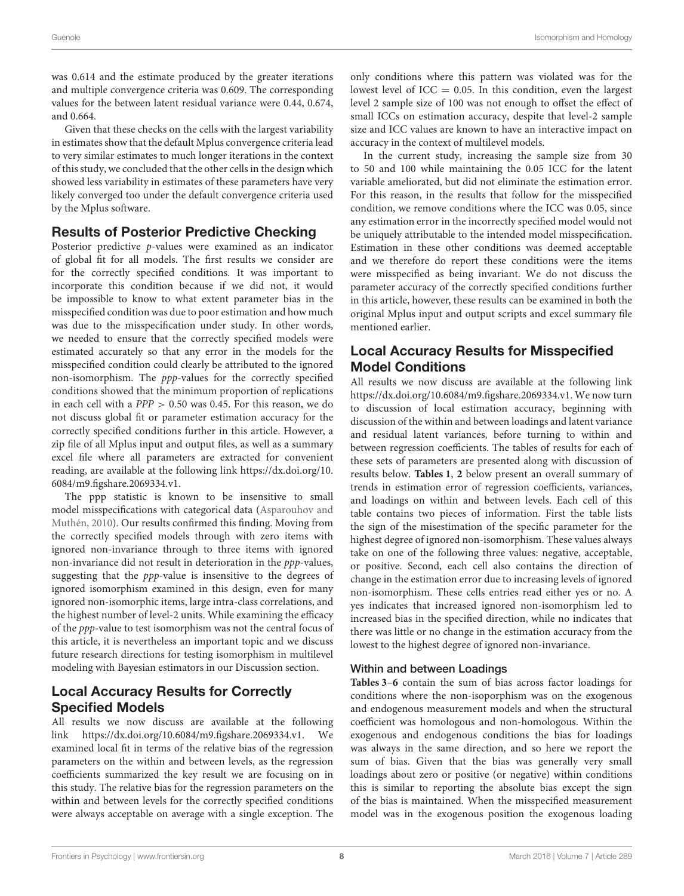was 0.614 and the estimate produced by the greater iterations and multiple convergence criteria was 0.609. The corresponding values for the between latent residual variance were 0.44, 0.674, and 0.664.

Given that these checks on the cells with the largest variability in estimates show that the default Mplus convergence criteria lead to very similar estimates to much longer iterations in the context of this study, we concluded that the other cells in the design which showed less variability in estimates of these parameters have very likely converged too under the default convergence criteria used by the Mplus software.

### Results of Posterior Predictive Checking

Posterior predictive p-values were examined as an indicator of global fit for all models. The first results we consider are for the correctly specified conditions. It was important to incorporate this condition because if we did not, it would be impossible to know to what extent parameter bias in the misspecified condition was due to poor estimation and how much was due to the misspecification under study. In other words, we needed to ensure that the correctly specified models were estimated accurately so that any error in the models for the misspecified condition could clearly be attributed to the ignored non-isomorphism. The ppp-values for the correctly specified conditions showed that the minimum proportion of replications in each cell with a  $PPP > 0.50$  was 0.45. For this reason, we do not discuss global fit or parameter estimation accuracy for the correctly specified conditions further in this article. However, a zip file of all Mplus input and output files, as well as a summary excel file where all parameters are extracted for convenient reading, are available at the following link [https://dx.doi.org/10.](https://dx.doi.org/10.6084/m9.figshare.2069334.v1) [6084/m9.figshare.2069334.v1.](https://dx.doi.org/10.6084/m9.figshare.2069334.v1)

The ppp statistic is known to be insensitive to small model misspecifications with categorical data (Asparouhov and Muthén, [2010\)](#page-15-35). Our results confirmed this finding. Moving from the correctly specified models through with zero items with ignored non-invariance through to three items with ignored non-invariance did not result in deterioration in the ppp-values, suggesting that the ppp-value is insensitive to the degrees of ignored isomorphism examined in this design, even for many ignored non-isomorphic items, large intra-class correlations, and the highest number of level-2 units. While examining the efficacy of the ppp-value to test isomorphism was not the central focus of this article, it is nevertheless an important topic and we discuss future research directions for testing isomorphism in multilevel modeling with Bayesian estimators in our Discussion section.

### Local Accuracy Results for Correctly Specified Models

All results we now discuss are available at the following link [https://dx.doi.org/10.6084/m9.figshare.2069334.v1.](https://dx.doi.org/10.6084/m9.figshare.2069334.v1) We examined local fit in terms of the relative bias of the regression parameters on the within and between levels, as the regression coefficients summarized the key result we are focusing on in this study. The relative bias for the regression parameters on the within and between levels for the correctly specified conditions were always acceptable on average with a single exception. The only conditions where this pattern was violated was for the lowest level of  $ICC = 0.05$ . In this condition, even the largest level 2 sample size of 100 was not enough to offset the effect of small ICCs on estimation accuracy, despite that level-2 sample size and ICC values are known to have an interactive impact on accuracy in the context of multilevel models.

In the current study, increasing the sample size from 30 to 50 and 100 while maintaining the 0.05 ICC for the latent variable ameliorated, but did not eliminate the estimation error. For this reason, in the results that follow for the misspecified condition, we remove conditions where the ICC was 0.05, since any estimation error in the incorrectly specified model would not be uniquely attributable to the intended model misspecification. Estimation in these other conditions was deemed acceptable and we therefore do report these conditions were the items were misspecified as being invariant. We do not discuss the parameter accuracy of the correctly specified conditions further in this article, however, these results can be examined in both the original Mplus input and output scripts and excel summary file mentioned earlier.

### Local Accuracy Results for Misspecified Model Conditions

All results we now discuss are available at the following link [https://dx.doi.org/10.6084/m9.figshare.2069334.v1.](https://dx.doi.org/10.6084/m9.figshare.2069334.v1) We now turn to discussion of local estimation accuracy, beginning with discussion of the within and between loadings and latent variance and residual latent variances, before turning to within and between regression coefficients. The tables of results for each of these sets of parameters are presented along with discussion of results below. **[Tables 1](#page-8-0)**, **[2](#page-8-1)** below present an overall summary of trends in estimation error of regression coefficients, variances, and loadings on within and between levels. Each cell of this table contains two pieces of information. First the table lists the sign of the misestimation of the specific parameter for the highest degree of ignored non-isomorphism. These values always take on one of the following three values: negative, acceptable, or positive. Second, each cell also contains the direction of change in the estimation error due to increasing levels of ignored non-isomorphism. These cells entries read either yes or no. A yes indicates that increased ignored non-isomorphism led to increased bias in the specified direction, while no indicates that there was little or no change in the estimation accuracy from the lowest to the highest degree of ignored non-invariance.

### Within and between Loadings

**[Tables 3](#page-9-0)**–**[6](#page-12-0)** contain the sum of bias across factor loadings for conditions where the non-isoporphism was on the exogenous and endogenous measurement models and when the structural coefficient was homologous and non-homologous. Within the exogenous and endogenous conditions the bias for loadings was always in the same direction, and so here we report the sum of bias. Given that the bias was generally very small loadings about zero or positive (or negative) within conditions this is similar to reporting the absolute bias except the sign of the bias is maintained. When the misspecified measurement model was in the exogenous position the exogenous loading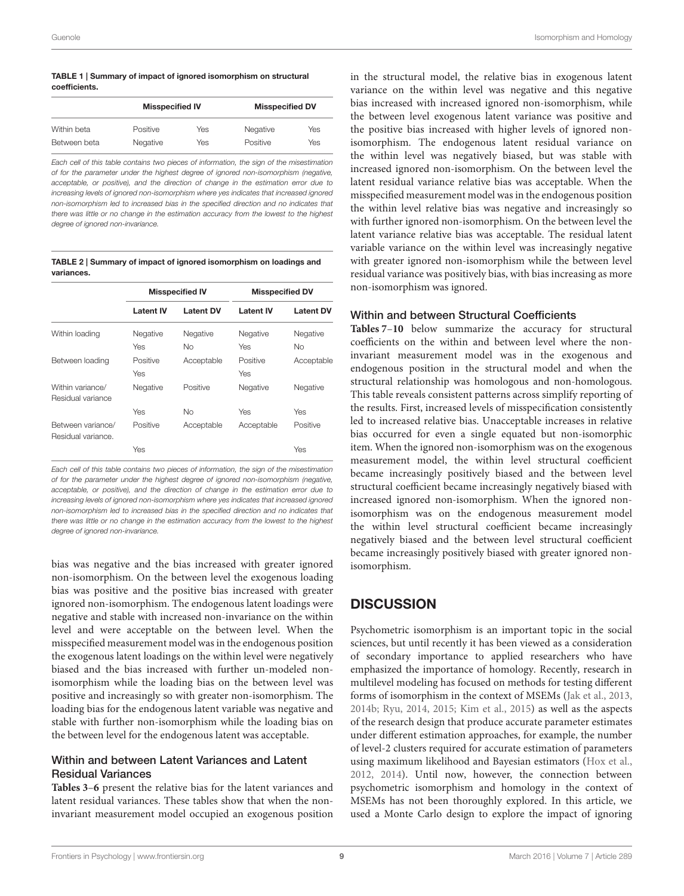#### <span id="page-8-0"></span>TABLE 1 | Summary of impact of ignored isomorphism on structural coefficients.

|              | <b>Misspecified IV</b> |     | <b>Misspecified DV</b> |     |
|--------------|------------------------|-----|------------------------|-----|
| Within beta  | Positive               | Yes | Negative               | Yes |
| Between beta | Negative               | Yes | Positive               | Yes |

*Each cell of this table contains two pieces of information, the sign of the misestimation of for the parameter under the highest degree of ignored non-isomorphism (negative, acceptable, or positive), and the direction of change in the estimation error due to increasing levels of ignored non-isomorphism where yes indicates that increased ignored non-isomorphism led to increased bias in the specified direction and no indicates that there was little or no change in the estimation accuracy from the lowest to the highest degree of ignored non-invariance.*

<span id="page-8-1"></span>TABLE 2 | Summary of impact of ignored isomorphism on loadings and variances.

|                                         |                  | <b>Misspecified IV</b> | <b>Misspecified DV</b> |                  |
|-----------------------------------------|------------------|------------------------|------------------------|------------------|
|                                         | <b>Latent IV</b> | <b>Latent DV</b>       | <b>Latent IV</b>       | <b>Latent DV</b> |
| Within loading                          | Negative         | Negative               | Negative               | Negative         |
|                                         | Yes              | Nο                     | Yes                    | Nο               |
| Between loading                         | Positive         | Acceptable             | Positive               | Acceptable       |
|                                         | Yes              |                        | Yes                    |                  |
| Within variance/<br>Residual variance   | Negative         | Positive               | Negative               | Negative         |
|                                         | Yes              | No                     | Yes                    | Yes              |
| Between variance/<br>Residual variance. | Positive         | Acceptable             | Acceptable             | Positive         |
|                                         | Yes              |                        |                        | Yes              |

*Each cell of this table contains two pieces of information, the sign of the misestimation of for the parameter under the highest degree of ignored non-isomorphism (negative, acceptable, or positive), and the direction of change in the estimation error due to increasing levels of ignored non-isomorphism where yes indicates that increased ignored non-isomorphism led to increased bias in the specified direction and no indicates that there was little or no change in the estimation accuracy from the lowest to the highest degree of ignored non-invariance.*

bias was negative and the bias increased with greater ignored non-isomorphism. On the between level the exogenous loading bias was positive and the positive bias increased with greater ignored non-isomorphism. The endogenous latent loadings were negative and stable with increased non-invariance on the within level and were acceptable on the between level. When the misspecified measurement model was in the endogenous position the exogenous latent loadings on the within level were negatively biased and the bias increased with further un-modeled nonisomorphism while the loading bias on the between level was positive and increasingly so with greater non-isomorphism. The loading bias for the endogenous latent variable was negative and stable with further non-isomorphism while the loading bias on the between level for the endogenous latent was acceptable.

#### Within and between Latent Variances and Latent Residual Variances

**[Tables 3](#page-9-0)**–**[6](#page-12-0)** present the relative bias for the latent variances and latent residual variances. These tables show that when the noninvariant measurement model occupied an exogenous position

in the structural model, the relative bias in exogenous latent variance on the within level was negative and this negative bias increased with increased ignored non-isomorphism, while the between level exogenous latent variance was positive and the positive bias increased with higher levels of ignored nonisomorphism. The endogenous latent residual variance on the within level was negatively biased, but was stable with increased ignored non-isomorphism. On the between level the latent residual variance relative bias was acceptable. When the misspecified measurement model was in the endogenous position the within level relative bias was negative and increasingly so with further ignored non-isomorphism. On the between level the latent variance relative bias was acceptable. The residual latent variable variance on the within level was increasingly negative with greater ignored non-isomorphism while the between level residual variance was positively bias, with bias increasing as more non-isomorphism was ignored.

#### Within and between Structural Coefficients

**[Tables 7](#page-13-0)**–**[10](#page-14-0)** below summarize the accuracy for structural coefficients on the within and between level where the noninvariant measurement model was in the exogenous and endogenous position in the structural model and when the structural relationship was homologous and non-homologous. This table reveals consistent patterns across simplify reporting of the results. First, increased levels of misspecification consistently led to increased relative bias. Unacceptable increases in relative bias occurred for even a single equated but non-isomorphic item. When the ignored non-isomorphism was on the exogenous measurement model, the within level structural coefficient became increasingly positively biased and the between level structural coefficient became increasingly negatively biased with increased ignored non-isomorphism. When the ignored nonisomorphism was on the endogenous measurement model the within level structural coefficient became increasingly negatively biased and the between level structural coefficient became increasingly positively biased with greater ignored nonisomorphism.

# **DISCUSSION**

Psychometric isomorphism is an important topic in the social sciences, but until recently it has been viewed as a consideration of secondary importance to applied researchers who have emphasized the importance of homology. Recently, research in multilevel modeling has focused on methods for testing different forms of isomorphism in the context of MSEMs [\(Jak et al., 2013,](#page-15-12) [2014b;](#page-15-36) [Ryu, 2014,](#page-16-7) [2015;](#page-16-8) [Kim et al., 2015\)](#page-15-14) as well as the aspects of the research design that produce accurate parameter estimates under different estimation approaches, for example, the number of level-2 clusters required for accurate estimation of parameters using maximum likelihood and Bayesian estimators [\(Hox et al.,](#page-15-15) [2012,](#page-15-15) [2014\)](#page-15-16). Until now, however, the connection between psychometric isomorphism and homology in the context of MSEMs has not been thoroughly explored. In this article, we used a Monte Carlo design to explore the impact of ignoring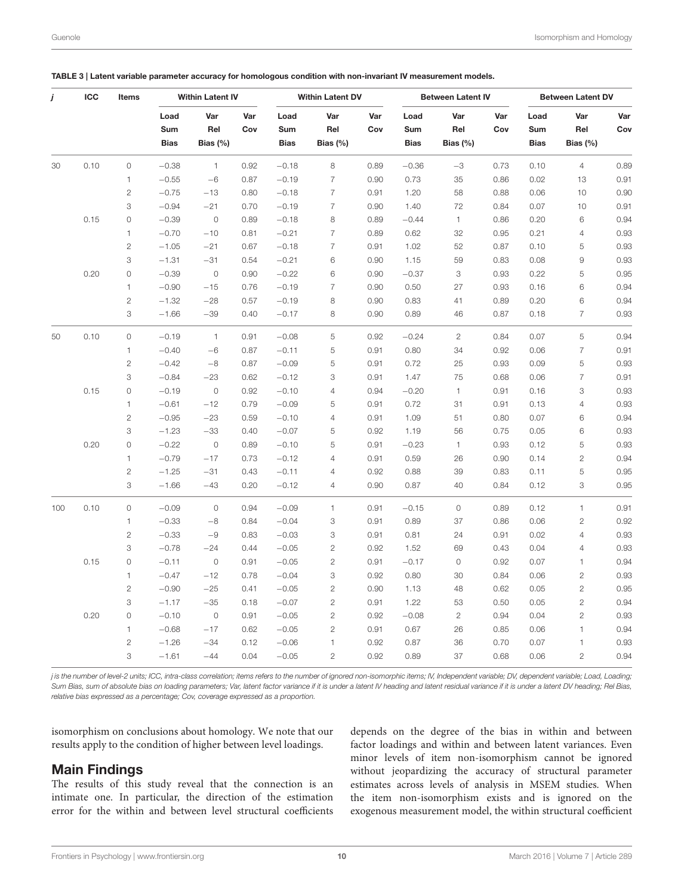| Load<br>Var<br>Var<br>Load<br>Var<br>Var<br>Load<br>Var<br>Var<br>Load<br>Var<br>Rel<br>Rel<br>Cov<br>Rel<br>Cov<br>Rel<br>Sum<br>Cov<br>Sum<br>Sum<br>Sum<br><b>Bias</b><br>Bias $(\%)$<br><b>Bias</b><br>Bias $(\%)$<br><b>Bias</b><br>Bias $(\%)$<br><b>Bias</b><br>Bias $(\%)$<br>0.10<br>$\mathsf O$<br>8<br>$-0.38$<br>$\mathbf{1}$<br>0.92<br>$-0.18$<br>0.89<br>$-0.36$<br>$-3$<br>0.73<br>0.10<br>$\overline{4}$<br>30<br>$\overline{7}$<br>$\mathbf{1}$<br>0.90<br>0.73<br>35<br>0.86<br>0.02<br>13<br>0.91<br>$-0.55$<br>$-6$<br>0.87<br>$-0.19$<br>$\sqrt{2}$<br>$\overline{7}$<br>$-0.75$<br>$-13$<br>0.80<br>$-0.18$<br>0.91<br>1.20<br>58<br>0.88<br>0.06<br>10<br>$\overline{7}$<br>3<br>$-0.94$<br>$-21$<br>1.40<br>72<br>0.07<br>10<br>0.91<br>0.70<br>$-0.19$<br>0.90<br>0.84<br>0.15<br>0<br>$-0.39$<br>$\circ$<br>8<br>$-0.44$<br>$\mathbf{1}$<br>0.20<br>6<br>0.89<br>$-0.18$<br>0.89<br>0.86<br>$\overline{7}$<br>$\mathbf{1}$<br>$-0.70$<br>$-10$<br>0.81<br>$-0.21$<br>0.89<br>0.62<br>32<br>0.95<br>0.21<br>$\overline{4}$<br>$\mathbf{2}$<br>$\overline{7}$<br>52<br>0.10<br>$-1.05$<br>$-21$<br>0.67<br>$-0.18$<br>0.91<br>1.02<br>0.87<br>5<br>3<br>$\hbox{${\cal G}$}$<br>$-1.31$<br>$-31$<br>0.54<br>$-0.21$<br>6<br>0.90<br>1.15<br>59<br>0.83<br>0.08<br>0.20<br>0<br>$-0.39$<br>$\circ$<br>$-0.22$<br>6<br>0.90<br>$-0.37$<br>3<br>0.22<br>5<br>0.90<br>0.93<br>$\mathbf{1}$<br>$-0.90$<br>$-15$<br>0.76<br>$-0.19$<br>$\overline{7}$<br>0.90<br>0.50<br>27<br>0.93<br>0.16<br>6<br>$\overline{c}$<br>$-1.32$<br>$-28$<br>$-0.19$<br>8<br>0.83<br>41<br>0.20<br>6<br>0.57<br>0.90<br>0.89<br>3<br>$\overline{7}$<br>$-1.66$<br>$-39$<br>0.40<br>$-0.17$<br>$\,$ 8 $\,$<br>0.90<br>0.89<br>46<br>0.87<br>0.18<br>0.10<br>0<br>5<br>$\overline{c}$<br>0.07<br>5<br>$-0.19$<br>$\overline{1}$<br>0.91<br>$-0.08$<br>0.92<br>$-0.24$<br>0.84<br>50<br>5<br>$\overline{7}$<br>0.91<br>$\mathbf{1}$<br>0.80<br>34<br>0.92<br>0.06<br>$-0.40$<br>$-6$<br>0.87<br>$-0.11$<br>0.91<br>$\overline{c}$<br>5<br>5<br>$-0.42$<br>$-8$<br>$-0.09$<br>0.91<br>0.72<br>25<br>0.93<br>0.09<br>0.87<br>$\overline{7}$<br>3<br>$-0.84$<br>$-23$<br>3<br>75<br>0.06<br>0.91<br>0.62<br>$-0.12$<br>0.91<br>1.47<br>0.68<br>0.15<br>0<br>$\circ$<br>$-0.20$<br>3<br>$-0.19$<br>0.92<br>$-0.10$<br>$\overline{4}$<br>0.94<br>1<br>0.91<br>0.16<br>$\mathbf{1}$<br>$-0.61$<br>$-12$<br>0.79<br>$-0.09$<br>0.91<br>0.72<br>31<br>0.91<br>0.13<br>$\overline{4}$<br>5<br>$\sqrt{2}$<br>$-0.95$<br>$-23$<br>0.07<br>0.59<br>$-0.10$<br>$\overline{4}$<br>0.91<br>1.09<br>51<br>0.80<br>6<br>3<br>$-1.23$<br>$-33$<br>$-0.07$<br>5<br>0.92<br>1.19<br>56<br>0.05<br>6<br>0.40<br>0.75<br>0.20<br>0<br>$-0.22$<br>$\circ$<br>5<br>5<br>0.89<br>$-0.10$<br>0.91<br>$-0.23$<br>$\mathbf{1}$<br>0.93<br>0.12<br>0.94<br>$\mathbf{1}$<br>$-0.79$<br>$-17$<br>0.73<br>$-0.12$<br>0.91<br>0.59<br>26<br>0.90<br>0.14<br>$\mathbf{2}$<br>$\overline{4}$<br>5<br>$\mathbf{2}$<br>$-1.25$<br>$-31$<br>0.43<br>$-0.11$<br>$\overline{4}$<br>0.92<br>0.88<br>39<br>0.83<br>0.11<br>3<br>3<br>$-1.66$<br>$-43$<br>0.20<br>$-0.12$<br>0.90<br>0.87<br>40<br>0.84<br>0.12<br>$\overline{4}$<br>$\mathbf{1}$<br>0.10<br>0<br>$-0.09$<br>$\circ$<br>0.94<br>$-0.09$<br>$\mathbf{1}$<br>$-0.15$<br>$\mathsf O$<br>0.12<br>100<br>0.91<br>0.89<br>$\mathbf{1}$<br>$-0.33$<br>$\ensuremath{\mathsf{3}}$<br>0.89<br>37<br>0.06<br>$\sqrt{2}$<br>$-8$<br>0.84<br>$-0.04$<br>0.91<br>0.86<br>$\overline{c}$<br>$-0.33$<br>$-9$<br>$-0.03$<br>3<br>0.91<br>0.81<br>24<br>0.91<br>0.02<br>$\sqrt{4}$<br>0.83<br>3<br>$-0.78$<br>$\overline{c}$<br>$-24$<br>$-0.05$<br>0.92<br>1.52<br>69<br>0.43<br>0.04<br>$\overline{4}$<br>0.44<br>0.15<br>0<br>$-0.11$<br>$\circ$<br>0.91<br>$-0.05$<br>$\overline{c}$<br>0.91<br>$-0.17$<br>$\mathsf O$<br>0.92<br>0.07<br>$\mathbf{1}$<br>$\mathbf{1}$<br>$-0.47$<br>$-12$<br>0.78<br>$-0.04$<br>3<br>0.92<br>0.80<br>30<br>0.06<br>$\mathbf{2}$<br>0.84<br>$\sqrt{2}$<br>$\overline{2}$<br>$\sqrt{2}$<br>$-0.90$<br>$-25$<br>0.41<br>$-0.05$<br>0.90<br>1.13<br>48<br>0.62<br>0.05<br>3<br>$-1.17$<br>$-35$<br>$\overline{c}$<br>1.22<br>0.05<br>$\mathbf{2}$<br>0.18<br>$-0.07$<br>0.91<br>53<br>0.50<br>0.20<br>$\mathsf O$<br>$-0.10$<br>$\mathbb O$<br>$\sqrt{2}$<br>$-0.08$<br>$\sqrt{2}$<br>0.04<br>$\sqrt{2}$<br>0.91<br>$-0.05$<br>0.92<br>0.94<br>0.94<br>$\mathbf{1}$<br>$-0.68$<br>$-17$<br>$-0.05$<br>$\mathbf{2}$<br>0.67<br>26<br>0.06<br>$\mathbf{1}$<br>0.62<br>0.91<br>0.85<br>$\sqrt{2}$<br>$-1.26$<br>$-34$<br>0.12<br>$-0.06$<br>$\mathbf{1}$<br>0.92<br>0.87<br>36<br>0.70<br>0.07<br>$\mathbf{1}$<br>3<br>$-44$<br>0.04<br>$-0.05$<br>$\overline{c}$<br>0.92<br>0.89<br>37<br>0.68<br>0.06<br>$\overline{c}$<br>$-1.61$ | j | ICC | Items | <b>Within Latent IV</b> |  | <b>Within Latent DV</b> |  | <b>Between Latent IV</b> |  | <b>Between Latent DV</b> |      |
|-------------------------------------------------------------------------------------------------------------------------------------------------------------------------------------------------------------------------------------------------------------------------------------------------------------------------------------------------------------------------------------------------------------------------------------------------------------------------------------------------------------------------------------------------------------------------------------------------------------------------------------------------------------------------------------------------------------------------------------------------------------------------------------------------------------------------------------------------------------------------------------------------------------------------------------------------------------------------------------------------------------------------------------------------------------------------------------------------------------------------------------------------------------------------------------------------------------------------------------------------------------------------------------------------------------------------------------------------------------------------------------------------------------------------------------------------------------------------------------------------------------------------------------------------------------------------------------------------------------------------------------------------------------------------------------------------------------------------------------------------------------------------------------------------------------------------------------------------------------------------------------------------------------------------------------------------------------------------------------------------------------------------------------------------------------------------------------------------------------------------------------------------------------------------------------------------------------------------------------------------------------------------------------------------------------------------------------------------------------------------------------------------------------------------------------------------------------------------------------------------------------------------------------------------------------------------------------------------------------------------------------------------------------------------------------------------------------------------------------------------------------------------------------------------------------------------------------------------------------------------------------------------------------------------------------------------------------------------------------------------------------------------------------------------------------------------------------------------------------------------------------------------------------------------------------------------------------------------------------------------------------------------------------------------------------------------------------------------------------------------------------------------------------------------------------------------------------------------------------------------------------------------------------------------------------------------------------------------------------------------------------------------------------------------------------------------------------------------------------------------------------------------------------------------------------------------------------------------------------------------------------------------------------------------------------------------------------------------------------------------------------------------------------------------------------------------------------------------------------------------------------------------------------------------------------------------------------------------------------------------------------------------------------------------------------------------------------------------------------------------------------------------------------------------------------------------------------------------------------------------------------------------------------------------------------------------------------------------------------------------------------------------------------------------------------------------------------------------------------------------------------------|---|-----|-------|-------------------------|--|-------------------------|--|--------------------------|--|--------------------------|------|
|                                                                                                                                                                                                                                                                                                                                                                                                                                                                                                                                                                                                                                                                                                                                                                                                                                                                                                                                                                                                                                                                                                                                                                                                                                                                                                                                                                                                                                                                                                                                                                                                                                                                                                                                                                                                                                                                                                                                                                                                                                                                                                                                                                                                                                                                                                                                                                                                                                                                                                                                                                                                                                                                                                                                                                                                                                                                                                                                                                                                                                                                                                                                                                                                                                                                                                                                                                                                                                                                                                                                                                                                                                                                                                                                                                                                                                                                                                                                                                                                                                                                                                                                                                                                                                                                                                                                                                                                                                                                                                                                                                                                                                                                                                                                                                   |   |     |       |                         |  |                         |  |                          |  |                          | Var  |
|                                                                                                                                                                                                                                                                                                                                                                                                                                                                                                                                                                                                                                                                                                                                                                                                                                                                                                                                                                                                                                                                                                                                                                                                                                                                                                                                                                                                                                                                                                                                                                                                                                                                                                                                                                                                                                                                                                                                                                                                                                                                                                                                                                                                                                                                                                                                                                                                                                                                                                                                                                                                                                                                                                                                                                                                                                                                                                                                                                                                                                                                                                                                                                                                                                                                                                                                                                                                                                                                                                                                                                                                                                                                                                                                                                                                                                                                                                                                                                                                                                                                                                                                                                                                                                                                                                                                                                                                                                                                                                                                                                                                                                                                                                                                                                   |   |     |       |                         |  |                         |  |                          |  |                          | Cov  |
|                                                                                                                                                                                                                                                                                                                                                                                                                                                                                                                                                                                                                                                                                                                                                                                                                                                                                                                                                                                                                                                                                                                                                                                                                                                                                                                                                                                                                                                                                                                                                                                                                                                                                                                                                                                                                                                                                                                                                                                                                                                                                                                                                                                                                                                                                                                                                                                                                                                                                                                                                                                                                                                                                                                                                                                                                                                                                                                                                                                                                                                                                                                                                                                                                                                                                                                                                                                                                                                                                                                                                                                                                                                                                                                                                                                                                                                                                                                                                                                                                                                                                                                                                                                                                                                                                                                                                                                                                                                                                                                                                                                                                                                                                                                                                                   |   |     |       |                         |  |                         |  |                          |  |                          |      |
|                                                                                                                                                                                                                                                                                                                                                                                                                                                                                                                                                                                                                                                                                                                                                                                                                                                                                                                                                                                                                                                                                                                                                                                                                                                                                                                                                                                                                                                                                                                                                                                                                                                                                                                                                                                                                                                                                                                                                                                                                                                                                                                                                                                                                                                                                                                                                                                                                                                                                                                                                                                                                                                                                                                                                                                                                                                                                                                                                                                                                                                                                                                                                                                                                                                                                                                                                                                                                                                                                                                                                                                                                                                                                                                                                                                                                                                                                                                                                                                                                                                                                                                                                                                                                                                                                                                                                                                                                                                                                                                                                                                                                                                                                                                                                                   |   |     |       |                         |  |                         |  |                          |  |                          | 0.89 |
|                                                                                                                                                                                                                                                                                                                                                                                                                                                                                                                                                                                                                                                                                                                                                                                                                                                                                                                                                                                                                                                                                                                                                                                                                                                                                                                                                                                                                                                                                                                                                                                                                                                                                                                                                                                                                                                                                                                                                                                                                                                                                                                                                                                                                                                                                                                                                                                                                                                                                                                                                                                                                                                                                                                                                                                                                                                                                                                                                                                                                                                                                                                                                                                                                                                                                                                                                                                                                                                                                                                                                                                                                                                                                                                                                                                                                                                                                                                                                                                                                                                                                                                                                                                                                                                                                                                                                                                                                                                                                                                                                                                                                                                                                                                                                                   |   |     |       |                         |  |                         |  |                          |  |                          |      |
|                                                                                                                                                                                                                                                                                                                                                                                                                                                                                                                                                                                                                                                                                                                                                                                                                                                                                                                                                                                                                                                                                                                                                                                                                                                                                                                                                                                                                                                                                                                                                                                                                                                                                                                                                                                                                                                                                                                                                                                                                                                                                                                                                                                                                                                                                                                                                                                                                                                                                                                                                                                                                                                                                                                                                                                                                                                                                                                                                                                                                                                                                                                                                                                                                                                                                                                                                                                                                                                                                                                                                                                                                                                                                                                                                                                                                                                                                                                                                                                                                                                                                                                                                                                                                                                                                                                                                                                                                                                                                                                                                                                                                                                                                                                                                                   |   |     |       |                         |  |                         |  |                          |  |                          | 0.90 |
|                                                                                                                                                                                                                                                                                                                                                                                                                                                                                                                                                                                                                                                                                                                                                                                                                                                                                                                                                                                                                                                                                                                                                                                                                                                                                                                                                                                                                                                                                                                                                                                                                                                                                                                                                                                                                                                                                                                                                                                                                                                                                                                                                                                                                                                                                                                                                                                                                                                                                                                                                                                                                                                                                                                                                                                                                                                                                                                                                                                                                                                                                                                                                                                                                                                                                                                                                                                                                                                                                                                                                                                                                                                                                                                                                                                                                                                                                                                                                                                                                                                                                                                                                                                                                                                                                                                                                                                                                                                                                                                                                                                                                                                                                                                                                                   |   |     |       |                         |  |                         |  |                          |  |                          |      |
|                                                                                                                                                                                                                                                                                                                                                                                                                                                                                                                                                                                                                                                                                                                                                                                                                                                                                                                                                                                                                                                                                                                                                                                                                                                                                                                                                                                                                                                                                                                                                                                                                                                                                                                                                                                                                                                                                                                                                                                                                                                                                                                                                                                                                                                                                                                                                                                                                                                                                                                                                                                                                                                                                                                                                                                                                                                                                                                                                                                                                                                                                                                                                                                                                                                                                                                                                                                                                                                                                                                                                                                                                                                                                                                                                                                                                                                                                                                                                                                                                                                                                                                                                                                                                                                                                                                                                                                                                                                                                                                                                                                                                                                                                                                                                                   |   |     |       |                         |  |                         |  |                          |  |                          | 0.94 |
|                                                                                                                                                                                                                                                                                                                                                                                                                                                                                                                                                                                                                                                                                                                                                                                                                                                                                                                                                                                                                                                                                                                                                                                                                                                                                                                                                                                                                                                                                                                                                                                                                                                                                                                                                                                                                                                                                                                                                                                                                                                                                                                                                                                                                                                                                                                                                                                                                                                                                                                                                                                                                                                                                                                                                                                                                                                                                                                                                                                                                                                                                                                                                                                                                                                                                                                                                                                                                                                                                                                                                                                                                                                                                                                                                                                                                                                                                                                                                                                                                                                                                                                                                                                                                                                                                                                                                                                                                                                                                                                                                                                                                                                                                                                                                                   |   |     |       |                         |  |                         |  |                          |  |                          | 0.93 |
|                                                                                                                                                                                                                                                                                                                                                                                                                                                                                                                                                                                                                                                                                                                                                                                                                                                                                                                                                                                                                                                                                                                                                                                                                                                                                                                                                                                                                                                                                                                                                                                                                                                                                                                                                                                                                                                                                                                                                                                                                                                                                                                                                                                                                                                                                                                                                                                                                                                                                                                                                                                                                                                                                                                                                                                                                                                                                                                                                                                                                                                                                                                                                                                                                                                                                                                                                                                                                                                                                                                                                                                                                                                                                                                                                                                                                                                                                                                                                                                                                                                                                                                                                                                                                                                                                                                                                                                                                                                                                                                                                                                                                                                                                                                                                                   |   |     |       |                         |  |                         |  |                          |  |                          | 0.93 |
|                                                                                                                                                                                                                                                                                                                                                                                                                                                                                                                                                                                                                                                                                                                                                                                                                                                                                                                                                                                                                                                                                                                                                                                                                                                                                                                                                                                                                                                                                                                                                                                                                                                                                                                                                                                                                                                                                                                                                                                                                                                                                                                                                                                                                                                                                                                                                                                                                                                                                                                                                                                                                                                                                                                                                                                                                                                                                                                                                                                                                                                                                                                                                                                                                                                                                                                                                                                                                                                                                                                                                                                                                                                                                                                                                                                                                                                                                                                                                                                                                                                                                                                                                                                                                                                                                                                                                                                                                                                                                                                                                                                                                                                                                                                                                                   |   |     |       |                         |  |                         |  |                          |  |                          | 0.93 |
|                                                                                                                                                                                                                                                                                                                                                                                                                                                                                                                                                                                                                                                                                                                                                                                                                                                                                                                                                                                                                                                                                                                                                                                                                                                                                                                                                                                                                                                                                                                                                                                                                                                                                                                                                                                                                                                                                                                                                                                                                                                                                                                                                                                                                                                                                                                                                                                                                                                                                                                                                                                                                                                                                                                                                                                                                                                                                                                                                                                                                                                                                                                                                                                                                                                                                                                                                                                                                                                                                                                                                                                                                                                                                                                                                                                                                                                                                                                                                                                                                                                                                                                                                                                                                                                                                                                                                                                                                                                                                                                                                                                                                                                                                                                                                                   |   |     |       |                         |  |                         |  |                          |  |                          | 0.95 |
|                                                                                                                                                                                                                                                                                                                                                                                                                                                                                                                                                                                                                                                                                                                                                                                                                                                                                                                                                                                                                                                                                                                                                                                                                                                                                                                                                                                                                                                                                                                                                                                                                                                                                                                                                                                                                                                                                                                                                                                                                                                                                                                                                                                                                                                                                                                                                                                                                                                                                                                                                                                                                                                                                                                                                                                                                                                                                                                                                                                                                                                                                                                                                                                                                                                                                                                                                                                                                                                                                                                                                                                                                                                                                                                                                                                                                                                                                                                                                                                                                                                                                                                                                                                                                                                                                                                                                                                                                                                                                                                                                                                                                                                                                                                                                                   |   |     |       |                         |  |                         |  |                          |  |                          | 0.94 |
|                                                                                                                                                                                                                                                                                                                                                                                                                                                                                                                                                                                                                                                                                                                                                                                                                                                                                                                                                                                                                                                                                                                                                                                                                                                                                                                                                                                                                                                                                                                                                                                                                                                                                                                                                                                                                                                                                                                                                                                                                                                                                                                                                                                                                                                                                                                                                                                                                                                                                                                                                                                                                                                                                                                                                                                                                                                                                                                                                                                                                                                                                                                                                                                                                                                                                                                                                                                                                                                                                                                                                                                                                                                                                                                                                                                                                                                                                                                                                                                                                                                                                                                                                                                                                                                                                                                                                                                                                                                                                                                                                                                                                                                                                                                                                                   |   |     |       |                         |  |                         |  |                          |  |                          | 0.94 |
|                                                                                                                                                                                                                                                                                                                                                                                                                                                                                                                                                                                                                                                                                                                                                                                                                                                                                                                                                                                                                                                                                                                                                                                                                                                                                                                                                                                                                                                                                                                                                                                                                                                                                                                                                                                                                                                                                                                                                                                                                                                                                                                                                                                                                                                                                                                                                                                                                                                                                                                                                                                                                                                                                                                                                                                                                                                                                                                                                                                                                                                                                                                                                                                                                                                                                                                                                                                                                                                                                                                                                                                                                                                                                                                                                                                                                                                                                                                                                                                                                                                                                                                                                                                                                                                                                                                                                                                                                                                                                                                                                                                                                                                                                                                                                                   |   |     |       |                         |  |                         |  |                          |  |                          | 0.93 |
|                                                                                                                                                                                                                                                                                                                                                                                                                                                                                                                                                                                                                                                                                                                                                                                                                                                                                                                                                                                                                                                                                                                                                                                                                                                                                                                                                                                                                                                                                                                                                                                                                                                                                                                                                                                                                                                                                                                                                                                                                                                                                                                                                                                                                                                                                                                                                                                                                                                                                                                                                                                                                                                                                                                                                                                                                                                                                                                                                                                                                                                                                                                                                                                                                                                                                                                                                                                                                                                                                                                                                                                                                                                                                                                                                                                                                                                                                                                                                                                                                                                                                                                                                                                                                                                                                                                                                                                                                                                                                                                                                                                                                                                                                                                                                                   |   |     |       |                         |  |                         |  |                          |  |                          | 0.94 |
|                                                                                                                                                                                                                                                                                                                                                                                                                                                                                                                                                                                                                                                                                                                                                                                                                                                                                                                                                                                                                                                                                                                                                                                                                                                                                                                                                                                                                                                                                                                                                                                                                                                                                                                                                                                                                                                                                                                                                                                                                                                                                                                                                                                                                                                                                                                                                                                                                                                                                                                                                                                                                                                                                                                                                                                                                                                                                                                                                                                                                                                                                                                                                                                                                                                                                                                                                                                                                                                                                                                                                                                                                                                                                                                                                                                                                                                                                                                                                                                                                                                                                                                                                                                                                                                                                                                                                                                                                                                                                                                                                                                                                                                                                                                                                                   |   |     |       |                         |  |                         |  |                          |  |                          |      |
|                                                                                                                                                                                                                                                                                                                                                                                                                                                                                                                                                                                                                                                                                                                                                                                                                                                                                                                                                                                                                                                                                                                                                                                                                                                                                                                                                                                                                                                                                                                                                                                                                                                                                                                                                                                                                                                                                                                                                                                                                                                                                                                                                                                                                                                                                                                                                                                                                                                                                                                                                                                                                                                                                                                                                                                                                                                                                                                                                                                                                                                                                                                                                                                                                                                                                                                                                                                                                                                                                                                                                                                                                                                                                                                                                                                                                                                                                                                                                                                                                                                                                                                                                                                                                                                                                                                                                                                                                                                                                                                                                                                                                                                                                                                                                                   |   |     |       |                         |  |                         |  |                          |  |                          | 0.93 |
|                                                                                                                                                                                                                                                                                                                                                                                                                                                                                                                                                                                                                                                                                                                                                                                                                                                                                                                                                                                                                                                                                                                                                                                                                                                                                                                                                                                                                                                                                                                                                                                                                                                                                                                                                                                                                                                                                                                                                                                                                                                                                                                                                                                                                                                                                                                                                                                                                                                                                                                                                                                                                                                                                                                                                                                                                                                                                                                                                                                                                                                                                                                                                                                                                                                                                                                                                                                                                                                                                                                                                                                                                                                                                                                                                                                                                                                                                                                                                                                                                                                                                                                                                                                                                                                                                                                                                                                                                                                                                                                                                                                                                                                                                                                                                                   |   |     |       |                         |  |                         |  |                          |  |                          |      |
|                                                                                                                                                                                                                                                                                                                                                                                                                                                                                                                                                                                                                                                                                                                                                                                                                                                                                                                                                                                                                                                                                                                                                                                                                                                                                                                                                                                                                                                                                                                                                                                                                                                                                                                                                                                                                                                                                                                                                                                                                                                                                                                                                                                                                                                                                                                                                                                                                                                                                                                                                                                                                                                                                                                                                                                                                                                                                                                                                                                                                                                                                                                                                                                                                                                                                                                                                                                                                                                                                                                                                                                                                                                                                                                                                                                                                                                                                                                                                                                                                                                                                                                                                                                                                                                                                                                                                                                                                                                                                                                                                                                                                                                                                                                                                                   |   |     |       |                         |  |                         |  |                          |  |                          | 0.93 |
|                                                                                                                                                                                                                                                                                                                                                                                                                                                                                                                                                                                                                                                                                                                                                                                                                                                                                                                                                                                                                                                                                                                                                                                                                                                                                                                                                                                                                                                                                                                                                                                                                                                                                                                                                                                                                                                                                                                                                                                                                                                                                                                                                                                                                                                                                                                                                                                                                                                                                                                                                                                                                                                                                                                                                                                                                                                                                                                                                                                                                                                                                                                                                                                                                                                                                                                                                                                                                                                                                                                                                                                                                                                                                                                                                                                                                                                                                                                                                                                                                                                                                                                                                                                                                                                                                                                                                                                                                                                                                                                                                                                                                                                                                                                                                                   |   |     |       |                         |  |                         |  |                          |  |                          | 0.93 |
|                                                                                                                                                                                                                                                                                                                                                                                                                                                                                                                                                                                                                                                                                                                                                                                                                                                                                                                                                                                                                                                                                                                                                                                                                                                                                                                                                                                                                                                                                                                                                                                                                                                                                                                                                                                                                                                                                                                                                                                                                                                                                                                                                                                                                                                                                                                                                                                                                                                                                                                                                                                                                                                                                                                                                                                                                                                                                                                                                                                                                                                                                                                                                                                                                                                                                                                                                                                                                                                                                                                                                                                                                                                                                                                                                                                                                                                                                                                                                                                                                                                                                                                                                                                                                                                                                                                                                                                                                                                                                                                                                                                                                                                                                                                                                                   |   |     |       |                         |  |                         |  |                          |  |                          | 0.94 |
|                                                                                                                                                                                                                                                                                                                                                                                                                                                                                                                                                                                                                                                                                                                                                                                                                                                                                                                                                                                                                                                                                                                                                                                                                                                                                                                                                                                                                                                                                                                                                                                                                                                                                                                                                                                                                                                                                                                                                                                                                                                                                                                                                                                                                                                                                                                                                                                                                                                                                                                                                                                                                                                                                                                                                                                                                                                                                                                                                                                                                                                                                                                                                                                                                                                                                                                                                                                                                                                                                                                                                                                                                                                                                                                                                                                                                                                                                                                                                                                                                                                                                                                                                                                                                                                                                                                                                                                                                                                                                                                                                                                                                                                                                                                                                                   |   |     |       |                         |  |                         |  |                          |  |                          | 0.93 |
|                                                                                                                                                                                                                                                                                                                                                                                                                                                                                                                                                                                                                                                                                                                                                                                                                                                                                                                                                                                                                                                                                                                                                                                                                                                                                                                                                                                                                                                                                                                                                                                                                                                                                                                                                                                                                                                                                                                                                                                                                                                                                                                                                                                                                                                                                                                                                                                                                                                                                                                                                                                                                                                                                                                                                                                                                                                                                                                                                                                                                                                                                                                                                                                                                                                                                                                                                                                                                                                                                                                                                                                                                                                                                                                                                                                                                                                                                                                                                                                                                                                                                                                                                                                                                                                                                                                                                                                                                                                                                                                                                                                                                                                                                                                                                                   |   |     |       |                         |  |                         |  |                          |  |                          | 0.93 |
|                                                                                                                                                                                                                                                                                                                                                                                                                                                                                                                                                                                                                                                                                                                                                                                                                                                                                                                                                                                                                                                                                                                                                                                                                                                                                                                                                                                                                                                                                                                                                                                                                                                                                                                                                                                                                                                                                                                                                                                                                                                                                                                                                                                                                                                                                                                                                                                                                                                                                                                                                                                                                                                                                                                                                                                                                                                                                                                                                                                                                                                                                                                                                                                                                                                                                                                                                                                                                                                                                                                                                                                                                                                                                                                                                                                                                                                                                                                                                                                                                                                                                                                                                                                                                                                                                                                                                                                                                                                                                                                                                                                                                                                                                                                                                                   |   |     |       |                         |  |                         |  |                          |  |                          |      |
|                                                                                                                                                                                                                                                                                                                                                                                                                                                                                                                                                                                                                                                                                                                                                                                                                                                                                                                                                                                                                                                                                                                                                                                                                                                                                                                                                                                                                                                                                                                                                                                                                                                                                                                                                                                                                                                                                                                                                                                                                                                                                                                                                                                                                                                                                                                                                                                                                                                                                                                                                                                                                                                                                                                                                                                                                                                                                                                                                                                                                                                                                                                                                                                                                                                                                                                                                                                                                                                                                                                                                                                                                                                                                                                                                                                                                                                                                                                                                                                                                                                                                                                                                                                                                                                                                                                                                                                                                                                                                                                                                                                                                                                                                                                                                                   |   |     |       |                         |  |                         |  |                          |  |                          | 0.95 |
|                                                                                                                                                                                                                                                                                                                                                                                                                                                                                                                                                                                                                                                                                                                                                                                                                                                                                                                                                                                                                                                                                                                                                                                                                                                                                                                                                                                                                                                                                                                                                                                                                                                                                                                                                                                                                                                                                                                                                                                                                                                                                                                                                                                                                                                                                                                                                                                                                                                                                                                                                                                                                                                                                                                                                                                                                                                                                                                                                                                                                                                                                                                                                                                                                                                                                                                                                                                                                                                                                                                                                                                                                                                                                                                                                                                                                                                                                                                                                                                                                                                                                                                                                                                                                                                                                                                                                                                                                                                                                                                                                                                                                                                                                                                                                                   |   |     |       |                         |  |                         |  |                          |  |                          | 0.95 |
|                                                                                                                                                                                                                                                                                                                                                                                                                                                                                                                                                                                                                                                                                                                                                                                                                                                                                                                                                                                                                                                                                                                                                                                                                                                                                                                                                                                                                                                                                                                                                                                                                                                                                                                                                                                                                                                                                                                                                                                                                                                                                                                                                                                                                                                                                                                                                                                                                                                                                                                                                                                                                                                                                                                                                                                                                                                                                                                                                                                                                                                                                                                                                                                                                                                                                                                                                                                                                                                                                                                                                                                                                                                                                                                                                                                                                                                                                                                                                                                                                                                                                                                                                                                                                                                                                                                                                                                                                                                                                                                                                                                                                                                                                                                                                                   |   |     |       |                         |  |                         |  |                          |  |                          | 0.91 |
|                                                                                                                                                                                                                                                                                                                                                                                                                                                                                                                                                                                                                                                                                                                                                                                                                                                                                                                                                                                                                                                                                                                                                                                                                                                                                                                                                                                                                                                                                                                                                                                                                                                                                                                                                                                                                                                                                                                                                                                                                                                                                                                                                                                                                                                                                                                                                                                                                                                                                                                                                                                                                                                                                                                                                                                                                                                                                                                                                                                                                                                                                                                                                                                                                                                                                                                                                                                                                                                                                                                                                                                                                                                                                                                                                                                                                                                                                                                                                                                                                                                                                                                                                                                                                                                                                                                                                                                                                                                                                                                                                                                                                                                                                                                                                                   |   |     |       |                         |  |                         |  |                          |  |                          | 0.92 |
|                                                                                                                                                                                                                                                                                                                                                                                                                                                                                                                                                                                                                                                                                                                                                                                                                                                                                                                                                                                                                                                                                                                                                                                                                                                                                                                                                                                                                                                                                                                                                                                                                                                                                                                                                                                                                                                                                                                                                                                                                                                                                                                                                                                                                                                                                                                                                                                                                                                                                                                                                                                                                                                                                                                                                                                                                                                                                                                                                                                                                                                                                                                                                                                                                                                                                                                                                                                                                                                                                                                                                                                                                                                                                                                                                                                                                                                                                                                                                                                                                                                                                                                                                                                                                                                                                                                                                                                                                                                                                                                                                                                                                                                                                                                                                                   |   |     |       |                         |  |                         |  |                          |  |                          | 0.93 |
|                                                                                                                                                                                                                                                                                                                                                                                                                                                                                                                                                                                                                                                                                                                                                                                                                                                                                                                                                                                                                                                                                                                                                                                                                                                                                                                                                                                                                                                                                                                                                                                                                                                                                                                                                                                                                                                                                                                                                                                                                                                                                                                                                                                                                                                                                                                                                                                                                                                                                                                                                                                                                                                                                                                                                                                                                                                                                                                                                                                                                                                                                                                                                                                                                                                                                                                                                                                                                                                                                                                                                                                                                                                                                                                                                                                                                                                                                                                                                                                                                                                                                                                                                                                                                                                                                                                                                                                                                                                                                                                                                                                                                                                                                                                                                                   |   |     |       |                         |  |                         |  |                          |  |                          | 0.93 |
|                                                                                                                                                                                                                                                                                                                                                                                                                                                                                                                                                                                                                                                                                                                                                                                                                                                                                                                                                                                                                                                                                                                                                                                                                                                                                                                                                                                                                                                                                                                                                                                                                                                                                                                                                                                                                                                                                                                                                                                                                                                                                                                                                                                                                                                                                                                                                                                                                                                                                                                                                                                                                                                                                                                                                                                                                                                                                                                                                                                                                                                                                                                                                                                                                                                                                                                                                                                                                                                                                                                                                                                                                                                                                                                                                                                                                                                                                                                                                                                                                                                                                                                                                                                                                                                                                                                                                                                                                                                                                                                                                                                                                                                                                                                                                                   |   |     |       |                         |  |                         |  |                          |  |                          | 0.94 |
|                                                                                                                                                                                                                                                                                                                                                                                                                                                                                                                                                                                                                                                                                                                                                                                                                                                                                                                                                                                                                                                                                                                                                                                                                                                                                                                                                                                                                                                                                                                                                                                                                                                                                                                                                                                                                                                                                                                                                                                                                                                                                                                                                                                                                                                                                                                                                                                                                                                                                                                                                                                                                                                                                                                                                                                                                                                                                                                                                                                                                                                                                                                                                                                                                                                                                                                                                                                                                                                                                                                                                                                                                                                                                                                                                                                                                                                                                                                                                                                                                                                                                                                                                                                                                                                                                                                                                                                                                                                                                                                                                                                                                                                                                                                                                                   |   |     |       |                         |  |                         |  |                          |  |                          | 0.93 |
|                                                                                                                                                                                                                                                                                                                                                                                                                                                                                                                                                                                                                                                                                                                                                                                                                                                                                                                                                                                                                                                                                                                                                                                                                                                                                                                                                                                                                                                                                                                                                                                                                                                                                                                                                                                                                                                                                                                                                                                                                                                                                                                                                                                                                                                                                                                                                                                                                                                                                                                                                                                                                                                                                                                                                                                                                                                                                                                                                                                                                                                                                                                                                                                                                                                                                                                                                                                                                                                                                                                                                                                                                                                                                                                                                                                                                                                                                                                                                                                                                                                                                                                                                                                                                                                                                                                                                                                                                                                                                                                                                                                                                                                                                                                                                                   |   |     |       |                         |  |                         |  |                          |  |                          | 0.95 |
|                                                                                                                                                                                                                                                                                                                                                                                                                                                                                                                                                                                                                                                                                                                                                                                                                                                                                                                                                                                                                                                                                                                                                                                                                                                                                                                                                                                                                                                                                                                                                                                                                                                                                                                                                                                                                                                                                                                                                                                                                                                                                                                                                                                                                                                                                                                                                                                                                                                                                                                                                                                                                                                                                                                                                                                                                                                                                                                                                                                                                                                                                                                                                                                                                                                                                                                                                                                                                                                                                                                                                                                                                                                                                                                                                                                                                                                                                                                                                                                                                                                                                                                                                                                                                                                                                                                                                                                                                                                                                                                                                                                                                                                                                                                                                                   |   |     |       |                         |  |                         |  |                          |  |                          | 0.94 |
|                                                                                                                                                                                                                                                                                                                                                                                                                                                                                                                                                                                                                                                                                                                                                                                                                                                                                                                                                                                                                                                                                                                                                                                                                                                                                                                                                                                                                                                                                                                                                                                                                                                                                                                                                                                                                                                                                                                                                                                                                                                                                                                                                                                                                                                                                                                                                                                                                                                                                                                                                                                                                                                                                                                                                                                                                                                                                                                                                                                                                                                                                                                                                                                                                                                                                                                                                                                                                                                                                                                                                                                                                                                                                                                                                                                                                                                                                                                                                                                                                                                                                                                                                                                                                                                                                                                                                                                                                                                                                                                                                                                                                                                                                                                                                                   |   |     |       |                         |  |                         |  |                          |  |                          | 0.93 |
|                                                                                                                                                                                                                                                                                                                                                                                                                                                                                                                                                                                                                                                                                                                                                                                                                                                                                                                                                                                                                                                                                                                                                                                                                                                                                                                                                                                                                                                                                                                                                                                                                                                                                                                                                                                                                                                                                                                                                                                                                                                                                                                                                                                                                                                                                                                                                                                                                                                                                                                                                                                                                                                                                                                                                                                                                                                                                                                                                                                                                                                                                                                                                                                                                                                                                                                                                                                                                                                                                                                                                                                                                                                                                                                                                                                                                                                                                                                                                                                                                                                                                                                                                                                                                                                                                                                                                                                                                                                                                                                                                                                                                                                                                                                                                                   |   |     |       |                         |  |                         |  |                          |  |                          |      |
|                                                                                                                                                                                                                                                                                                                                                                                                                                                                                                                                                                                                                                                                                                                                                                                                                                                                                                                                                                                                                                                                                                                                                                                                                                                                                                                                                                                                                                                                                                                                                                                                                                                                                                                                                                                                                                                                                                                                                                                                                                                                                                                                                                                                                                                                                                                                                                                                                                                                                                                                                                                                                                                                                                                                                                                                                                                                                                                                                                                                                                                                                                                                                                                                                                                                                                                                                                                                                                                                                                                                                                                                                                                                                                                                                                                                                                                                                                                                                                                                                                                                                                                                                                                                                                                                                                                                                                                                                                                                                                                                                                                                                                                                                                                                                                   |   |     |       |                         |  |                         |  |                          |  |                          | 0.93 |
|                                                                                                                                                                                                                                                                                                                                                                                                                                                                                                                                                                                                                                                                                                                                                                                                                                                                                                                                                                                                                                                                                                                                                                                                                                                                                                                                                                                                                                                                                                                                                                                                                                                                                                                                                                                                                                                                                                                                                                                                                                                                                                                                                                                                                                                                                                                                                                                                                                                                                                                                                                                                                                                                                                                                                                                                                                                                                                                                                                                                                                                                                                                                                                                                                                                                                                                                                                                                                                                                                                                                                                                                                                                                                                                                                                                                                                                                                                                                                                                                                                                                                                                                                                                                                                                                                                                                                                                                                                                                                                                                                                                                                                                                                                                                                                   |   |     |       |                         |  |                         |  |                          |  |                          | 0.94 |

<span id="page-9-0"></span>

|  | TABLE 3   Latent variable parameter accuracy for homologous condition with non-invariant IV measurement models. |  |  |  |  |
|--|-----------------------------------------------------------------------------------------------------------------|--|--|--|--|
|--|-----------------------------------------------------------------------------------------------------------------|--|--|--|--|

isomorphism on conclusions about homology. We note that our results apply to the condition of higher between level loadings.

### Main Findings

The results of this study reveal that the connection is an intimate one. In particular, the direction of the estimation error for the within and between level structural coefficients depends on the degree of the bias in within and between factor loadings and within and between latent variances. Even minor levels of item non-isomorphism cannot be ignored without jeopardizing the accuracy of structural parameter estimates across levels of analysis in MSEM studies. When the item non-isomorphism exists and is ignored on the exogenous measurement model, the within structural coefficient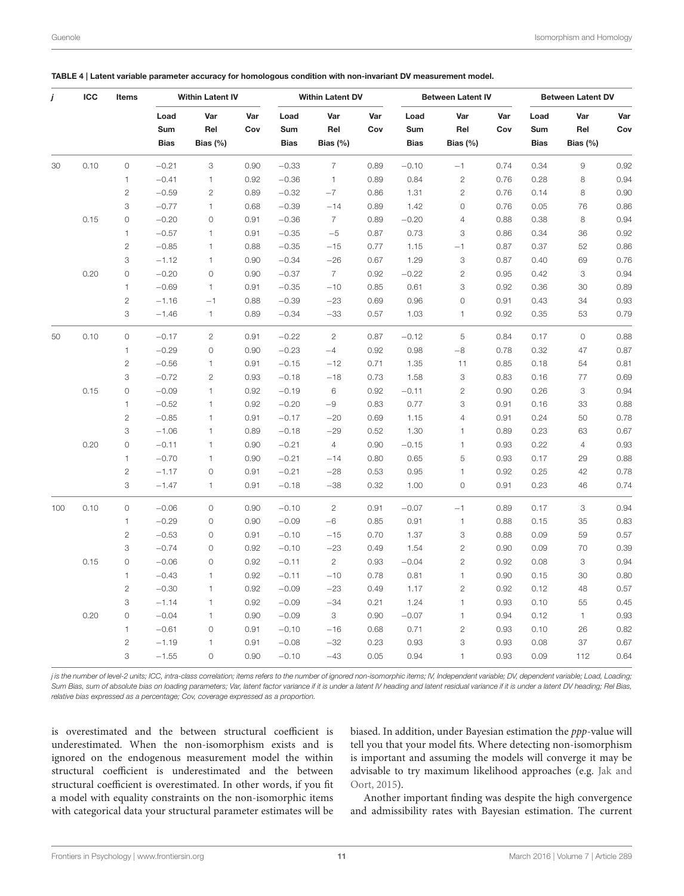| j   | ICC  | Items               |             | <b>Within Latent IV</b> |            |             | <b>Within Latent DV</b> |            |             | <b>Between Latent IV</b> |            |             | <b>Between Latent DV</b> |            |
|-----|------|---------------------|-------------|-------------------------|------------|-------------|-------------------------|------------|-------------|--------------------------|------------|-------------|--------------------------|------------|
|     |      |                     | Load<br>Sum | Var<br>Rel              | Var<br>Cov | Load<br>Sum | Var<br>Rel              | Var<br>Cov | Load<br>Sum | Var<br>Rel               | Var<br>Cov | Load<br>Sum | Var<br>Rel               | Var<br>Cov |
|     |      |                     | <b>Bias</b> | Bias $(%)$              |            | <b>Bias</b> | Bias $(%)$              |            | <b>Bias</b> | Bias $(%)$               |            | <b>Bias</b> | Bias $(%)$               |            |
| 30  | 0.10 | $\mathsf{O}\xspace$ | $-0.21$     | 3                       | 0.90       | $-0.33$     | $\overline{7}$          | 0.89       | $-0.10$     | $-1$                     | 0.74       | 0.34        | $\hbox{9}$               | 0.92       |
|     |      | $\mathbf{1}$        | $-0.41$     | $\mathbf{1}$            | 0.92       | $-0.36$     | 1                       | 0.89       | 0.84        | $\mathbf{2}$             | 0.76       | 0.28        | 8                        | 0.94       |
|     |      | $\overline{c}$      | $-0.59$     | $\mathbf{2}$            | 0.89       | $-0.32$     | $-7$                    | 0.86       | 1.31        | $\overline{c}$           | 0.76       | 0.14        | 8                        | 0.90       |
|     |      | 3                   | $-0.77$     | $\mathbf{1}$            | 0.68       | $-0.39$     | $-14$                   | 0.89       | 1.42        | 0                        | 0.76       | 0.05        | 76                       | 0.86       |
|     | 0.15 | $\mathsf{O}\xspace$ | $-0.20$     | $\mathsf{O}\xspace$     | 0.91       | $-0.36$     | $\overline{7}$          | 0.89       | $-0.20$     | $\overline{4}$           | 0.88       | 0.38        | 8                        | 0.94       |
|     |      | $\mathbf{1}$        | $-0.57$     | 1                       | 0.91       | $-0.35$     | $-5$                    | 0.87       | 0.73        | 3                        | 0.86       | 0.34        | 36                       | 0.92       |
|     |      | $\mathbf{2}$        | $-0.85$     | $\mathbf{1}$            | 0.88       | $-0.35$     | $-15$                   | 0.77       | 1.15        | $-1$                     | 0.87       | 0.37        | 52                       | 0.86       |
|     |      | 3                   | $-1.12$     | $\mathbf{1}$            | 0.90       | $-0.34$     | $-26$                   | 0.67       | 1.29        | 3                        | 0.87       | 0.40        | 69                       | 0.76       |
|     | 0.20 | $\mathsf{O}\xspace$ | $-0.20$     | $\mathsf{O}\xspace$     | 0.90       | $-0.37$     | $\overline{7}$          | 0.92       | $-0.22$     | $\overline{c}$           | 0.95       | 0.42        | 3                        | 0.94       |
|     |      | $\mathbf{1}$        | $-0.69$     | $\mathbf{1}$            | 0.91       | $-0.35$     | $-10$                   | 0.85       | 0.61        | 3                        | 0.92       | 0.36        | 30                       | 0.89       |
|     |      | $\mathbf{2}$        | $-1.16$     | $-1$                    | 0.88       | $-0.39$     | $-23$                   | 0.69       | 0.96        | $\mathsf{O}\xspace$      | 0.91       | 0.43        | 34                       | 0.93       |
|     |      | 3                   | $-1.46$     | $\mathbf{1}$            | 0.89       | $-0.34$     | $-33$                   | 0.57       | 1.03        | 1                        | 0.92       | 0.35        | 53                       | 0.79       |
| 50  | 0.10 | $\circ$             | $-0.17$     | $\sqrt{2}$              | 0.91       | $-0.22$     | $\mathbf{2}$            | 0.87       | $-0.12$     | 5                        | 0.84       | 0.17        | $\circ$                  | 0.88       |
|     |      | 1                   | $-0.29$     | $\mathsf{O}\xspace$     | 0.90       | $-0.23$     | $-4$                    | 0.92       | 0.98        | $-8$                     | 0.78       | 0.32        | 47                       | 0.87       |
|     |      | $\overline{c}$      | $-0.56$     | 1                       | 0.91       | $-0.15$     | $-12$                   | 0.71       | 1.35        | 11                       | 0.85       | 0.18        | 54                       | 0.81       |
|     |      | 3                   | $-0.72$     | $\mathbf{2}$            | 0.93       | $-0.18$     | $-18$                   | 0.73       | 1.58        | 3                        | 0.83       | 0.16        | 77                       | 0.69       |
|     | 0.15 | $\overline{0}$      | $-0.09$     | $\mathbbm{1}$           | 0.92       | $-0.19$     | 6                       | 0.92       | $-0.11$     | $\mathbf{2}$             | 0.90       | 0.26        | 3                        | 0.94       |
|     |      | $\mathbf{1}$        | $-0.52$     | $\mathbf{1}$            | 0.92       | $-0.20$     | $-9$                    | 0.83       | 0.77        | 3                        | 0.91       | 0.16        | 33                       | 0.88       |
|     |      | $\sqrt{2}$          | $-0.85$     | 1                       | 0.91       | $-0.17$     | $-20$                   | 0.69       | 1.15        | $\overline{4}$           | 0.91       | 0.24        | 50                       | 0.78       |
|     |      | 3                   | $-1.06$     | $\mathbf{1}$            | 0.89       | $-0.18$     | $-29$                   | 0.52       | 1.30        | $\mathbf{1}$             | 0.89       | 0.23        | 63                       | 0.67       |
|     | 0.20 | $\overline{0}$      | $-0.11$     | $\mathbf{1}$            | 0.90       | $-0.21$     | $\overline{4}$          | 0.90       | $-0.15$     | 1                        | 0.93       | 0.22        | $\sqrt{4}$               | 0.93       |
|     |      | $\mathbf{1}$        | $-0.70$     | $\mathbf{1}$            | 0.90       | $-0.21$     | $-14$                   | 0.80       | 0.65        | 5                        | 0.93       | 0.17        | 29                       | 0.88       |
|     |      | $\overline{c}$      | $-1.17$     | $\circ$                 | 0.91       | $-0.21$     | $-28$                   | 0.53       | 0.95        | $\mathbf{1}$             | 0.92       | 0.25        | 42                       | 0.78       |
|     |      | 3                   | $-1.47$     | $\mathbf{1}$            | 0.91       | $-0.18$     | $-38$                   | 0.32       | 1.00        | $\mathsf{O}\xspace$      | 0.91       | 0.23        | 46                       | 0.74       |
| 100 | 0.10 | 0                   | $-0.06$     | $\mathbb O$             | 0.90       | $-0.10$     | $\overline{c}$          | 0.91       | $-0.07$     | $-1$                     | 0.89       | 0.17        | 3                        | 0.94       |
|     |      | $\mathbf{1}$        | $-0.29$     | $\mathsf{O}\xspace$     | 0.90       | $-0.09$     | $-6$                    | 0.85       | 0.91        | $\mathbf{1}$             | 0.88       | 0.15        | 35                       | 0.83       |
|     |      | $\mathbf{2}$        | $-0.53$     | $\mathbb O$             | 0.91       | $-0.10$     | $-15$                   | 0.70       | 1.37        | 3                        | 0.88       | 0.09        | 59                       | 0.57       |
|     |      | 3                   | $-0.74$     | $\mathsf{O}\xspace$     | 0.92       | $-0.10$     | $-23$                   | 0.49       | 1.54        | $\overline{c}$           | 0.90       | 0.09        | 70                       | 0.39       |
|     | 0.15 | 0                   | $-0.06$     | $\mathbb O$             | 0.92       | $-0.11$     | $\mathbf{2}$            | 0.93       | $-0.04$     | $\mathbf{2}$             | 0.92       | 0.08        | 3                        | 0.94       |
|     |      | $\mathbf{1}$        | $-0.43$     | $\mathbf{1}$            | 0.92       | $-0.11$     | $-10$                   | 0.78       | 0.81        | $\mathbf{1}$             | 0.90       | 0.15        | 30                       | 0.80       |
|     |      | $\mathbf{2}$        | $-0.30$     | 1                       | 0.92       | $-0.09$     | $-23$                   | 0.49       | 1.17        | $\mathbf{2}$             | 0.92       | 0.12        | 48                       | 0.57       |
|     |      | 3                   | $-1.14$     | 1                       | 0.92       | $-0.09$     | $-34$                   | 0.21       | 1.24        | $\mathbf{1}$             | 0.93       | 0.10        | 55                       | 0.45       |
|     | 0.20 | $\mathsf{O}\xspace$ | $-0.04$     | 1                       | 0.90       | $-0.09$     | З                       | 0.90       | $-0.07$     | $\mathbf{1}$             | 0.94       | 0.12        | $\mathbf{1}$             | 0.93       |
|     |      | $\mathbf{1}$        | $-0.61$     | $\mathsf{O}\xspace$     | 0.91       | $-0.10$     | $-16$                   | 0.68       | 0.71        | $\mathbf{2}$             | 0.93       | 0.10        | 26                       | 0.82       |
|     |      | $\mathbf{2}$        | $-1.19$     | $\mathbf{1}$            | 0.91       | $-0.08$     | $-32$                   | 0.23       | 0.93        | 3                        | 0.93       | 0.08        | 37                       | 0.67       |
|     |      | 3                   | $-1.55$     | $\mathsf{O}\xspace$     | 0.90       | $-0.10$     | $-43$                   | 0.05       | 0.94        | $\mathbf{1}$             | 0.93       | 0.09        | 112                      | 0.64       |

|  |  |  |  | TABLE 4   Latent variable parameter accuracy for homologous condition with non-invariant DV measurement model. |
|--|--|--|--|----------------------------------------------------------------------------------------------------------------|
|--|--|--|--|----------------------------------------------------------------------------------------------------------------|

is overestimated and the between structural coefficient is underestimated. When the non-isomorphism exists and is ignored on the endogenous measurement model the within structural coefficient is underestimated and the between structural coefficient is overestimated. In other words, if you fit a model with equality constraints on the non-isomorphic items with categorical data your structural parameter estimates will be biased. In addition, under Bayesian estimation the ppp-value will tell you that your model fits. Where detecting non-isomorphism is important and assuming the models will converge it may be advisable to try maximum likelihood approaches (e.g. Jak and Oort, [2015\)](#page-15-37).

Another important finding was despite the high convergence and admissibility rates with Bayesian estimation. The current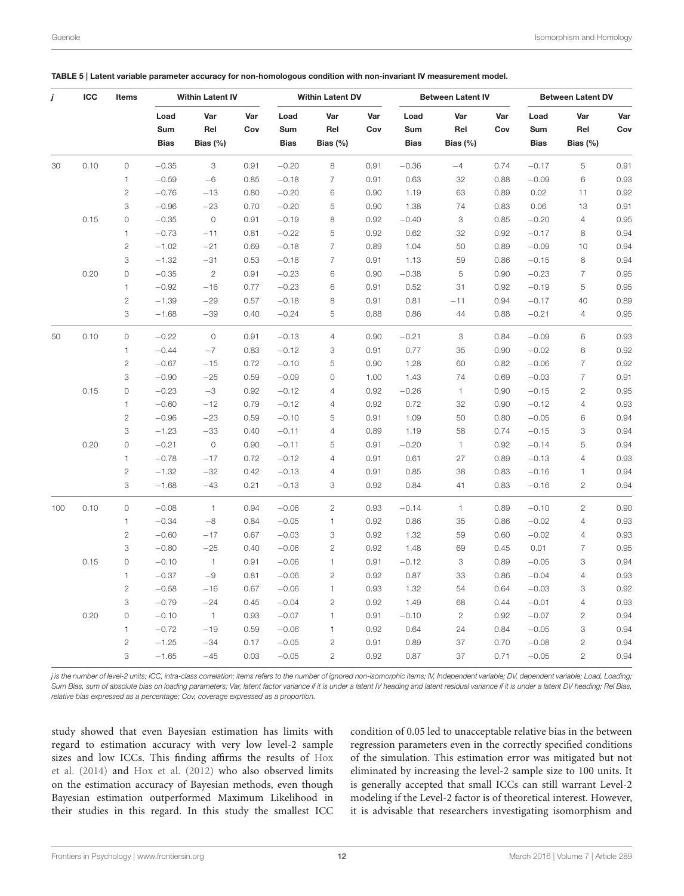| j   | ICC  | Items               |             | <b>Within Latent IV</b> |            |             | <b>Within Latent DV</b> |            |             | <b>Between Latent IV</b> |            |             | <b>Between Latent DV</b> |            |
|-----|------|---------------------|-------------|-------------------------|------------|-------------|-------------------------|------------|-------------|--------------------------|------------|-------------|--------------------------|------------|
|     |      |                     | Load<br>Sum | Var<br>Rel              | Var<br>Cov | Load<br>Sum | Var<br>Rel              | Var<br>Cov | Load<br>Sum | Var<br>Rel               | Var<br>Cov | Load<br>Sum | Var<br>Rel               | Var<br>Cov |
|     |      |                     | <b>Bias</b> | Bias $(%)$              |            | <b>Bias</b> | Bias $(%)$              |            | <b>Bias</b> | Bias $(%)$               |            | <b>Bias</b> | Bias $(%)$               |            |
| 30  | 0.10 | $\circ$             | $-0.35$     | 3                       | 0.91       | $-0.20$     | 8                       | 0.91       | $-0.36$     | $-4$                     | 0.74       | $-0.17$     | 5                        | 0.91       |
|     |      | $\mathbf{1}$        | $-0.59$     | $-6$                    | 0.85       | $-0.18$     | $\overline{7}$          | 0.91       | 0.63        | 32                       | 0.88       | $-0.09$     | 6                        | 0.93       |
|     |      | $\mathbf{2}$        | $-0.76$     | $-13$                   | 0.80       | $-0.20$     | 6                       | 0.90       | 1.19        | 63                       | 0.89       | 0.02        | 11                       | 0.92       |
|     |      | 3                   | $-0.96$     | $-23$                   | 0.70       | $-0.20$     | 5                       | 0.90       | 1.38        | 74                       | 0.83       | 0.06        | 13                       | 0.91       |
|     | 0.15 | $\overline{0}$      | $-0.35$     | $\circ$                 | 0.91       | $-0.19$     | 8                       | 0.92       | $-0.40$     | 3                        | 0.85       | $-0.20$     | $\overline{4}$           | 0.95       |
|     |      | $\mathbf{1}$        | $-0.73$     | $-11$                   | 0.81       | $-0.22$     | 5                       | 0.92       | 0.62        | 32                       | 0.92       | $-0.17$     | 8                        | 0.94       |
|     |      | $\mathbf{2}$        | $-1.02$     | $-21$                   | 0.69       | $-0.18$     | $\overline{7}$          | 0.89       | 1.04        | 50                       | 0.89       | $-0.09$     | 10                       | 0.94       |
|     |      | 3                   | $-1.32$     | $-31$                   | 0.53       | $-0.18$     | $\overline{7}$          | 0.91       | 1.13        | 59                       | 0.86       | $-0.15$     | 8                        | 0.94       |
|     | 0.20 | $\mathsf{O}\xspace$ | $-0.35$     | $\overline{2}$          | 0.91       | $-0.23$     | 6                       | 0.90       | $-0.38$     | 5                        | 0.90       | $-0.23$     | $\overline{7}$           | 0.95       |
|     |      | $\mathbf{1}$        | $-0.92$     | $-16$                   | 0.77       | $-0.23$     | 6                       | 0.91       | 0.52        | 31                       | 0.92       | $-0.19$     | 5                        | 0.95       |
|     |      | $\overline{c}$      | $-1.39$     | $-29$                   | 0.57       | $-0.18$     | 8                       | 0.91       | 0.81        | $-11$                    | 0.94       | $-0.17$     | 40                       | 0.89       |
|     |      | 3                   | $-1.68$     | $-39$                   | 0.40       | $-0.24$     | 5                       | 0.88       | 0.86        | 44                       | 0.88       | $-0.21$     | $\overline{4}$           | 0.95       |
| 50  | 0.10 | $\circ$             | $-0.22$     | $\mathbb O$             | 0.91       | $-0.13$     | $\overline{4}$          | 0.90       | $-0.21$     | 3                        | 0.84       | $-0.09$     | 6                        | 0.93       |
|     |      | $\mathbf{1}$        | $-0.44$     | $-7$                    | 0.83       | $-0.12$     | 3                       | 0.91       | 0.77        | 35                       | 0.90       | $-0.02$     | 6                        | 0.92       |
|     |      | $\mathbf{2}$        | $-0.67$     | $-15$                   | 0.72       | $-0.10$     | 5                       | 0.90       | 1.28        | 60                       | 0.82       | $-0.06$     | $\overline{7}$           | 0.92       |
|     |      | 3                   | $-0.90$     | $-25$                   | 0.59       | $-0.09$     | $\mathsf{O}\xspace$     | 1.00       | 1.43        | 74                       | 0.69       | $-0.03$     | $\overline{7}$           | 0.91       |
|     | 0.15 | 0                   | $-0.23$     | $-3$                    | 0.92       | $-0.12$     | 4                       | 0.92       | $-0.26$     | $\mathbf{1}$             | 0.90       | $-0.15$     | 2                        | 0.95       |
|     |      | $\mathbf{1}$        | $-0.60$     | $-12$                   | 0.79       | $-0.12$     | $\overline{4}$          | 0.92       | 0.72        | 32                       | 0.90       | $-0.12$     | $\overline{4}$           | 0.93       |
|     |      | $\mathbf{2}$        | $-0.96$     | $-23$                   | 0.59       | $-0.10$     | 5                       | 0.91       | 1.09        | 50                       | 0.80       | $-0.05$     | 6                        | 0.94       |
|     |      | 3                   | $-1.23$     | $-33$                   | 0.40       | $-0.11$     | $\overline{4}$          | 0.89       | 1.19        | 58                       | 0.74       | $-0.15$     | 3                        | 0.94       |
|     | 0.20 | $\mathsf{O}\xspace$ | $-0.21$     | $\circ$                 | 0.90       | $-0.11$     | 5                       | 0.91       | $-0.20$     | $\mathbf{1}$             | 0.92       | $-0.14$     | 5                        | 0.94       |
|     |      | $\mathbf{1}$        | $-0.78$     | $-17$                   | 0.72       | $-0.12$     | $\overline{4}$          | 0.91       | 0.61        | 27                       | 0.89       | $-0.13$     | $\overline{4}$           | 0.93       |
|     |      | $\mathbf{2}$        | $-1.32$     | $-32$                   | 0.42       | $-0.13$     | $\overline{4}$          | 0.91       | 0.85        | 38                       | 0.83       | $-0.16$     | 1                        | 0.94       |
|     |      | 3                   | $-1.68$     | $-43$                   | 0.21       | $-0.13$     | 3                       | 0.92       | 0.84        | 41                       | 0.83       | $-0.16$     | $\overline{c}$           | 0.94       |
| 100 | 0.10 | $\mathsf{O}\xspace$ | $-0.08$     | $\mathbf{1}$            | 0.94       | $-0.06$     | $\mathbf{2}$            | 0.93       | $-0.14$     | $\mathbf{1}$             | 0.89       | $-0.10$     | $\overline{c}$           | 0.90       |
|     |      | 1                   | $-0.34$     | $-8$                    | 0.84       | $-0.05$     | $\mathbf{1}$            | 0.92       | 0.86        | 35                       | 0.86       | $-0.02$     | 4                        | 0.93       |
|     |      | $\overline{c}$      | $-0.60$     | $-17$                   | 0.67       | $-0.03$     | 3                       | 0.92       | 1.32        | 59                       | 0.60       | $-0.02$     | $\overline{4}$           | 0.93       |
|     |      | 3                   | $-0.80$     | $-25$                   | 0.40       | $-0.06$     | $\overline{c}$          | 0.92       | 1.48        | 69                       | 0.45       | 0.01        | $\overline{7}$           | 0.95       |
|     | 0.15 | $\mathsf{O}\xspace$ | $-0.10$     | $\overline{1}$          | 0.91       | $-0.06$     | 1                       | 0.91       | $-0.12$     | 3                        | 0.89       | $-0.05$     | 3                        | 0.94       |
|     |      | $\mathbf{1}$        | $-0.37$     | $-9$                    | 0.81       | $-0.06$     | $\overline{c}$          | 0.92       | 0.87        | 33                       | 0.86       | $-0.04$     | $\overline{4}$           | 0.93       |
|     |      | $\mathbf{2}$        | $-0.58$     | $-16$                   | 0.67       | $-0.06$     | $\mathbf{1}$            | 0.93       | 1.32        | 54                       | 0.64       | $-0.03$     | 3                        | 0.92       |
|     |      | 3                   | $-0.79$     | $-24$                   | 0.45       | $-0.04$     | $\overline{c}$          | 0.92       | 1.49        | 68                       | 0.44       | $-0.01$     | $\overline{4}$           | 0.93       |
|     | 0.20 | $\mathsf{O}\xspace$ | $-0.10$     | $\overline{1}$          | 0.93       | $-0.07$     | $\mathbf{1}$            | 0.91       | $-0.10$     | $\overline{c}$           | 0.92       | $-0.07$     | 2                        | 0.94       |
|     |      | $\mathbf{1}$        | $-0.72$     | $-19$                   | 0.59       | $-0.06$     | 1                       | 0.92       | 0.64        | 24                       | 0.84       | $-0.05$     | 3                        | 0.94       |
|     |      | $\mathbf{2}$        | $-1.25$     | $-34$                   | 0.17       | $-0.05$     | $\mathbf{2}$            | 0.91       | 0.89        | 37                       | 0.70       | $-0.08$     | $\overline{c}$           | 0.94       |
|     |      | 3                   | $-1.65$     | $-45$                   | 0.03       | $-0.05$     | $\overline{c}$          | 0.92       | 0.87        | 37                       | 0.71       | $-0.05$     | $\overline{c}$           | 0.94       |

|  | TABLE 5   Latent variable parameter accuracy for non-homologous condition with non-invariant IV measurement model. |  |  |  |  |
|--|--------------------------------------------------------------------------------------------------------------------|--|--|--|--|
|--|--------------------------------------------------------------------------------------------------------------------|--|--|--|--|

study showed that even Bayesian estimation has limits with regard to estimation accuracy with very low level-2 sample sizes and low ICCs. This finding affirms the results of Hox et al. [\(2014\)](#page-15-16) and [Hox et al. \(2012\)](#page-15-15) who also observed limits on the estimation accuracy of Bayesian methods, even though Bayesian estimation outperformed Maximum Likelihood in their studies in this regard. In this study the smallest ICC condition of 0.05 led to unacceptable relative bias in the between regression parameters even in the correctly specified conditions of the simulation. This estimation error was mitigated but not eliminated by increasing the level-2 sample size to 100 units. It is generally accepted that small ICCs can still warrant Level-2 modeling if the Level-2 factor is of theoretical interest. However, it is advisable that researchers investigating isomorphism and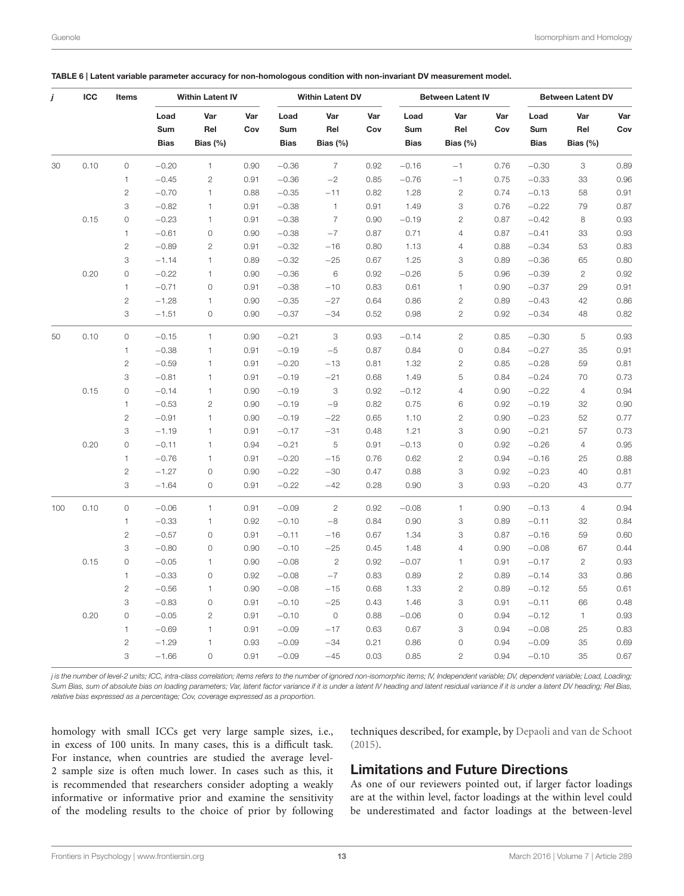| j   | ICC  | <b>Items</b>        |             | <b>Within Latent IV</b> |            |             | <b>Within Latent DV</b> |            |             | <b>Between Latent IV</b> |            |             | <b>Between Latent DV</b> |            |
|-----|------|---------------------|-------------|-------------------------|------------|-------------|-------------------------|------------|-------------|--------------------------|------------|-------------|--------------------------|------------|
|     |      |                     | Load<br>Sum | Var<br>Rel              | Var<br>Cov | Load<br>Sum | Var<br>Rel              | Var<br>Cov | Load<br>Sum | Var<br>Rel               | Var<br>Cov | Load<br>Sum | Var<br>Rel               | Var<br>Cov |
|     |      |                     | <b>Bias</b> | Bias $(\%)$             |            | <b>Bias</b> | Bias $(\%)$             |            | <b>Bias</b> | Bias $(%)$               |            | <b>Bias</b> | Bias $(%)$               |            |
| 30  | 0.10 | $\mathbb O$         | $-0.20$     | $\mathbf{1}$            | 0.90       | $-0.36$     | $\overline{7}$          | 0.92       | $-0.16$     | $-1$                     | 0.76       | $-0.30$     | 3                        | 0.89       |
|     |      | $\mathbf{1}$        | $-0.45$     | $\mathbf{2}$            | 0.91       | $-0.36$     | $-2$                    | 0.85       | $-0.76$     | $-1$                     | 0.75       | $-0.33$     | 33                       | 0.96       |
|     |      | $\mathbf{2}$        | $-0.70$     | $\mathbf{1}$            | 0.88       | $-0.35$     | $-11$                   | 0.82       | 1.28        | $\sqrt{2}$               | 0.74       | $-0.13$     | 58                       | 0.91       |
|     |      | 3                   | $-0.82$     | $\mathbf{1}$            | 0.91       | $-0.38$     | $\mathbf{1}$            | 0.91       | 1.49        | 3                        | 0.76       | $-0.22$     | 79                       | 0.87       |
|     | 0.15 | $\mathsf{O}\xspace$ | $-0.23$     | $\mathbf{1}$            | 0.91       | $-0.38$     | $\overline{7}$          | 0.90       | $-0.19$     | $\mathbf{2}$             | 0.87       | $-0.42$     | 8                        | 0.93       |
|     |      | $\mathbf{1}$        | $-0.61$     | $\circ$                 | 0.90       | $-0.38$     | $-7$                    | 0.87       | 0.71        | $\overline{4}$           | 0.87       | $-0.41$     | 33                       | 0.93       |
|     |      | $\mathbf{2}$        | $-0.89$     | $\mathbf{2}$            | 0.91       | $-0.32$     | $-16$                   | 0.80       | 1.13        | $\overline{4}$           | 0.88       | $-0.34$     | 53                       | 0.83       |
|     |      | 3                   | $-1.14$     | $\mathbf{1}$            | 0.89       | $-0.32$     | $-25$                   | 0.67       | 1.25        | 3                        | 0.89       | $-0.36$     | 65                       | 0.80       |
|     | 0.20 | $\mathsf{O}\xspace$ | $-0.22$     | 1                       | 0.90       | $-0.36$     | 6                       | 0.92       | $-0.26$     | 5                        | 0.96       | $-0.39$     | $\overline{c}$           | 0.92       |
|     |      | $\mathbf{1}$        | $-0.71$     | $\circ$                 | 0.91       | $-0.38$     | $-10$                   | 0.83       | 0.61        | $\mathbf{1}$             | 0.90       | $-0.37$     | 29                       | 0.91       |
|     |      | $\overline{c}$      | $-1.28$     | 1                       | 0.90       | $-0.35$     | $-27$                   | 0.64       | 0.86        | $\mathbf{2}$             | 0.89       | $-0.43$     | 42                       | 0.86       |
|     |      | 3                   | $-1.51$     | $\mathsf O$             | 0.90       | $-0.37$     | $-34$                   | 0.52       | 0.98        | $\overline{c}$           | 0.92       | $-0.34$     | 48                       | 0.82       |
| 50  | 0.10 | $\circ$             | $-0.15$     | $\mathbf{1}$            | 0.90       | $-0.21$     | 3                       | 0.93       | $-0.14$     | $\overline{c}$           | 0.85       | $-0.30$     | 5                        | 0.93       |
|     |      | $\mathbf{1}$        | $-0.38$     | $\mathbf{1}$            | 0.91       | $-0.19$     | $-5$                    | 0.87       | 0.84        | $\mathsf{O}\xspace$      | 0.84       | $-0.27$     | 35                       | 0.91       |
|     |      | $\sqrt{2}$          | $-0.59$     | 1                       | 0.91       | $-0.20$     | $-13$                   | 0.81       | 1.32        | $\overline{c}$           | 0.85       | $-0.28$     | 59                       | 0.81       |
|     |      | 3                   | $-0.81$     | $\mathbf{1}$            | 0.91       | $-0.19$     | $-21$                   | 0.68       | 1.49        | 5                        | 0.84       | $-0.24$     | 70                       | 0.73       |
|     | 0.15 | $\circ$             | $-0.14$     | $\mathbf{1}$            | 0.90       | $-0.19$     | 3                       | 0.92       | $-0.12$     | $\sqrt{4}$               | 0.90       | $-0.22$     | $\overline{4}$           | 0.94       |
|     |      | $\mathbf{1}$        | $-0.53$     | $\overline{c}$          | 0.90       | $-0.19$     | $-9$                    | 0.82       | 0.75        | 6                        | 0.92       | $-0.19$     | 32                       | 0.90       |
|     |      | $\mathbf{2}$        | $-0.91$     | $\mathbf{1}$            | 0.90       | $-0.19$     | $-22$                   | 0.65       | 1.10        | $\mathbf{2}$             | 0.90       | $-0.23$     | 52                       | 0.77       |
|     |      | 3                   | $-1.19$     | 1                       | 0.91       | $-0.17$     | $-31$                   | 0.48       | 1.21        | 3                        | 0.90       | $-0.21$     | 57                       | 0.73       |
|     | 0.20 | $\mathsf{O}\xspace$ | $-0.11$     | 1                       | 0.94       | $-0.21$     | 5                       | 0.91       | $-0.13$     | $\mathsf O$              | 0.92       | $-0.26$     | 4                        | 0.95       |
|     |      | $\mathbf{1}$        | $-0.76$     | 1                       | 0.91       | $-0.20$     | $-15$                   | 0.76       | 0.62        | $\mathbf{2}$             | 0.94       | $-0.16$     | 25                       | 0.88       |
|     |      | $\mathbf{2}$        | $-1.27$     | $\mathsf{O}\xspace$     | 0.90       | $-0.22$     | $-30$                   | 0.47       | 0.88        | 3                        | 0.92       | $-0.23$     | 40                       | 0.81       |
|     |      | 3                   | $-1.64$     | $\mathsf O$             | 0.91       | $-0.22$     | $-42$                   | 0.28       | 0.90        | 3                        | 0.93       | $-0.20$     | 43                       | 0.77       |
| 100 | 0.10 | $\mathsf{O}\xspace$ | $-0.06$     | $\mathbf{1}$            | 0.91       | $-0.09$     | $\overline{2}$          | 0.92       | $-0.08$     | $\mathbf{1}$             | 0.90       | $-0.13$     | $\overline{4}$           | 0.94       |
|     |      | 1                   | $-0.33$     | $\mathbf{1}$            | 0.92       | $-0.10$     | $-8$                    | 0.84       | 0.90        | 3                        | 0.89       | $-0.11$     | 32                       | 0.84       |
|     |      | $\mathbf{2}$        | $-0.57$     | $\mathsf O$             | 0.91       | $-0.11$     | $-16$                   | 0.67       | 1.34        | 3                        | 0.87       | $-0.16$     | 59                       | 0.60       |
|     |      | 3                   | $-0.80$     | $\mathsf O$             | 0.90       | $-0.10$     | $-25$                   | 0.45       | 1.48        | $\overline{4}$           | 0.90       | $-0.08$     | 67                       | 0.44       |
|     | 0.15 | $\overline{0}$      | $-0.05$     | 1                       | 0.90       | $-0.08$     | $\overline{2}$          | 0.92       | $-0.07$     | $\mathbf{1}$             | 0.91       | $-0.17$     | $\mathbf{2}$             | 0.93       |
|     |      | $\mathbf{1}$        | $-0.33$     | $\circ$                 | 0.92       | $-0.08$     | $-7$                    | 0.83       | 0.89        | $\mathbf{2}$             | 0.89       | $-0.14$     | 33                       | 0.86       |
|     |      | $\mathbf{2}$        | $-0.56$     | $\mathbf{1}$            | 0.90       | $-0.08$     | $-15$                   | 0.68       | 1.33        | $\sqrt{2}$               | 0.89       | $-0.12$     | 55                       | 0.61       |
|     |      | 3                   | $-0.83$     | $\mathsf O$             | 0.91       | $-0.10$     | $-25$                   | 0.43       | 1.46        | 3                        | 0.91       | $-0.11$     | 66                       | 0.48       |
|     | 0.20 | $\mathsf{O}\xspace$ | $-0.05$     | $\mathbf{2}$            | 0.91       | $-0.10$     | $\mathsf{O}\xspace$     | 0.88       | $-0.06$     | $\mathsf O$              | 0.94       | $-0.12$     | $\mathbf{1}$             | 0.93       |
|     |      | $\mathbf{1}$        | $-0.69$     | 1                       | 0.91       | $-0.09$     | $-17$                   | 0.63       | 0.67        | 3                        | 0.94       | $-0.08$     | 25                       | 0.83       |
|     |      | $\mathbf{2}$        | $-1.29$     | $\mathbf{1}$            | 0.93       | $-0.09$     | $-34$                   | 0.21       | 0.86        | $\mathsf{O}\xspace$      | 0.94       | $-0.09$     | 35                       | 0.69       |
|     |      | 3                   | $-1.66$     | $\circ$                 | 0.91       | $-0.09$     | $-45$                   | 0.03       | 0.85        | $\overline{c}$           | 0.94       | $-0.10$     | 35                       | 0.67       |

<span id="page-12-0"></span>

|  | TABLE 6   Latent variable parameter accuracy for non-homologous condition with non-invariant DV measurement model. |
|--|--------------------------------------------------------------------------------------------------------------------|
|--|--------------------------------------------------------------------------------------------------------------------|

homology with small ICCs get very large sample sizes, i.e., in excess of 100 units. In many cases, this is a difficult task. For instance, when countries are studied the average level-2 sample size is often much lower. In cases such as this, it is recommended that researchers consider adopting a weakly informative or informative prior and examine the sensitivity of the modeling results to the choice of prior by following

techniques described, for example, by [Depaoli and van de Schoot](#page-15-38) [\(2015\)](#page-15-38).

### Limitations and Future Directions

As one of our reviewers pointed out, if larger factor loadings are at the within level, factor loadings at the within level could be underestimated and factor loadings at the between-level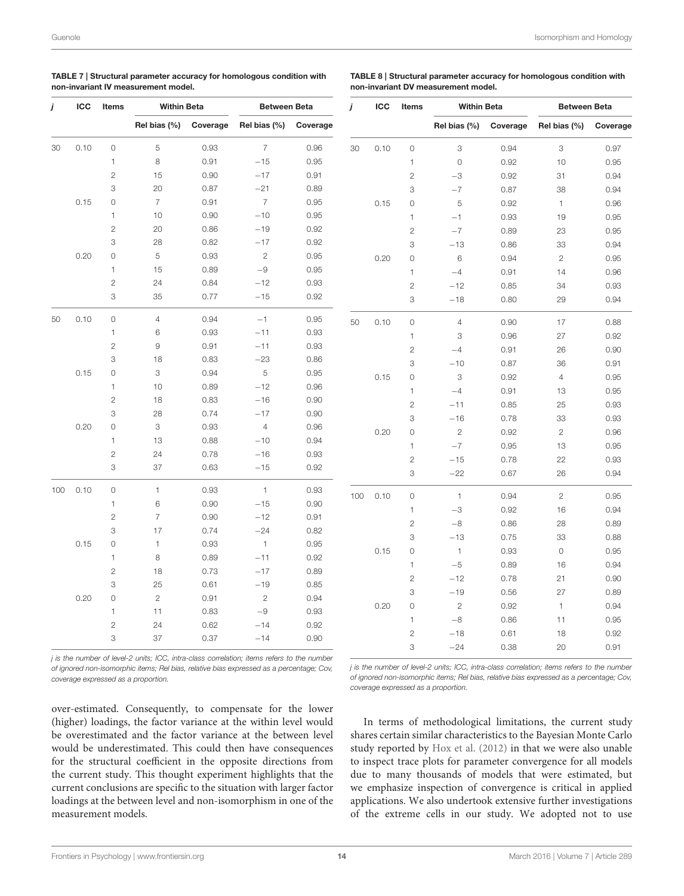<span id="page-13-0"></span>

| $\sim$ | Mattalation Products                | Bushess and Bushes                                                  |
|--------|-------------------------------------|---------------------------------------------------------------------|
|        | non-invariant IV measurement model. |                                                                     |
|        |                                     | TABLE 7 Structural parameter accuracy for homologous condition with |

TABLE 8 | Structural parameter accuracy for homologous condition with non-invariant DV measurement model.

|     | ICC  | Items               | <b>Within Beta</b> |          | <b>Between Beta</b> |          |
|-----|------|---------------------|--------------------|----------|---------------------|----------|
|     |      |                     | Rel bias (%)       | Coverage | Rel bias (%)        | Coverage |
| 30  | 0.10 | $\circ$             | 5                  | 0.93     | $\overline{7}$      | 0.96     |
|     |      | 1                   | 8                  | 0.91     | $-15$               | 0.95     |
|     |      | $\overline{c}$      | 15                 | 0.90     | $-17$               | 0.91     |
|     |      | 3                   | 20                 | 0.87     | $-21$               | 0.89     |
|     | 0.15 | 0                   | $\overline{7}$     | 0.91     | $\overline{7}$      | 0.95     |
|     |      | 1                   | 10                 | 0.90     | $-10$               | 0.95     |
|     |      | $\overline{c}$      | 20                 | 0.86     | $-19$               | 0.92     |
|     |      | 3                   | 28                 | 0.82     | $-17$               | 0.92     |
|     | 0.20 | 0                   | 5                  | 0.93     | 2                   | 0.95     |
|     |      | 1                   | 15                 | 0.89     | $-9$                | 0.95     |
|     |      | $\overline{c}$      | 24                 | 0.84     | $-12$               | 0.93     |
|     |      | 3                   | 35                 | 0.77     | $-15$               | 0.92     |
| 50  | 0.10 | $\mathsf{O}\xspace$ | $\overline{4}$     | 0.94     | $-1$                | 0.95     |
|     |      | 1                   | 6                  | 0.93     | $-11$               | 0.93     |
|     |      | $\overline{c}$      | 9                  | 0.91     | $-11$               | 0.93     |
|     |      | 3                   | 18                 | 0.83     | $-23$               | 0.86     |
|     | 0.15 | 0                   | 3                  | 0.94     | 5                   | 0.95     |
|     |      | 1                   | 10                 | 0.89     | $-12$               | 0.96     |
|     |      | $\overline{c}$      | 18                 | 0.83     | $-16$               | 0.90     |
|     |      | 3                   | 28                 | 0.74     | $-17$               | 0.90     |
|     | 0.20 | 0                   | 3                  | 0.93     | $\overline{4}$      | 0.96     |
|     |      | $\mathbf{1}$        | 13                 | 0.88     | $-10$               | 0.94     |
|     |      | $\overline{c}$      | 24                 | 0.78     | $-16$               | 0.93     |
|     |      | 3                   | 37                 | 0.63     | $-15$               | 0.92     |
| 100 | 0.10 | 0                   | 1                  | 0.93     | 1                   | 0.93     |
|     |      | 1                   | 6                  | 0.90     | $-15$               | 0.90     |
|     |      | $\overline{c}$      | 7                  | 0.90     | $-12$               | 0.91     |
|     |      | 3                   | 17                 | 0.74     | $-24$               | 0.82     |
|     | 0.15 | 0                   | 1                  | 0.93     | $\mathbf{1}$        | 0.95     |
|     |      | 1                   | 8                  | 0.89     | $-11$               | 0.92     |
|     |      | $\overline{c}$      | 18                 | 0.73     | $-17$               | 0.89     |
|     |      | 3                   | 25                 | 0.61     | $-19$               | 0.85     |
|     | 0.20 | 0                   | $\mathbf{2}$       | 0.91     | $\mathbf{2}$        | 0.94     |
|     |      | 1                   | 11                 | 0.83     | $-9$                | 0.93     |
|     |      | $\overline{c}$      | 24                 | 0.62     | $-14$               | 0.92     |
|     |      | 3                   | 37                 | 0.37     | $-14$               | 0.90     |

| j   | ICC  | Items          | Within Beta    |          | Between Beta   |          |
|-----|------|----------------|----------------|----------|----------------|----------|
|     |      |                | Rel bias (%)   | Coverage | Rel bias (%)   | Coverage |
| 30  | 0.10 | $\overline{O}$ | 3              | 0.94     | 3              | 0.97     |
|     |      | 1              | $\circ$        | 0.92     | 10             | 0.95     |
|     |      | $\mathbf{2}$   | $-3$           | 0.92     | 31             | 0.94     |
|     |      | 3              | $-7$           | 0.87     | 38             | 0.94     |
|     | 0.15 | $\overline{O}$ | 5              | 0.92     | 1              | 0.96     |
|     |      | 1              | $-1$           | 0.93     | 19             | 0.95     |
|     |      | $\mathbf{2}$   | $-7$           | 0.89     | 23             | 0.95     |
|     |      | 3              | $-13$          | 0.86     | 33             | 0.94     |
|     | 0.20 | $\overline{O}$ | 6              | 0.94     | $\overline{2}$ | 0.95     |
|     |      | 1              | $-4$           | 0.91     | 14             | 0.96     |
|     |      | $\overline{c}$ | $-12$          | 0.85     | 34             | 0.93     |
|     |      | 3              | $-18$          | 0.80     | 29             | 0.94     |
| 50  | 0.10 | 0              | $\overline{4}$ | 0.90     | 17             | 0.88     |
|     |      | 1              | 3              | 0.96     | 27             | 0.92     |
|     |      | $\overline{c}$ | $-4$           | 0.91     | 26             | 0.90     |
|     |      | 3              | $-10$          | 0.87     | 36             | 0.91     |
|     | 0.15 | 0              | 3              | 0.92     | $\overline{4}$ | 0.95     |
|     |      | 1              | $-4$           | 0.91     | 13             | 0.95     |
|     |      | $\overline{c}$ | $-11$          | 0.85     | 25             | 0.93     |
|     |      | 3              | $-16$          | 0.78     | 33             | 0.93     |
|     | 0.20 | $\overline{O}$ | $\overline{c}$ | 0.92     | $\overline{c}$ | 0.96     |
|     |      | $\mathbf{1}$   | $-7$           | 0.95     | 13             | 0.95     |
|     |      | $\mathbf{2}$   | $-15$          | 0.78     | 22             | 0.93     |
|     |      | 3              | $-22$          | 0.67     | 26             | 0.94     |
| 100 | 0.10 | 0              | $\mathbf{1}$   | 0.94     | 2              | 0.95     |
|     |      | $\mathbf{1}$   | $-3$           | 0.92     | 16             | 0.94     |
|     |      | $\overline{c}$ | $-8$           | 0.86     | 28             | 0.89     |
|     |      | 3              | $-13$          | 0.75     | 33             | 0.88     |
|     | 0.15 | 0              | 1              | 0.93     | 0              | 0.95     |
|     |      | 1              | $-5$           | 0.89     | 16             | 0.94     |
|     |      | $\overline{c}$ | $-12$          | 0.78     | 21             | 0.90     |
|     |      | 3              | $-19$          | 0.56     | 27             | 0.89     |
|     | 0.20 | 0              | $\mathbf{2}$   | 0.92     | 1              | 0.94     |
|     |      | 1              | $-8$           | 0.86     | 11             | 0.95     |
|     |      | $\overline{c}$ | $-18$          | 0.61     | 18             | 0.92     |
|     |      | 3              | $-24$          | 0.38     | 20             | 0.91     |

*j is the number of level-2 units; ICC, intra-class correlation; items refers to the number of ignored non-isomorphic items; Rel bias, relative bias expressed as a percentage; Cov, coverage expressed as a proportion.*

*j is the number of level-2 units; ICC, intra-class correlation; items refers to the number of ignored non-isomorphic items; Rel bias, relative bias expressed as a percentage; Cov, coverage expressed as a proportion.*

over-estimated. Consequently, to compensate for the lower (higher) loadings, the factor variance at the within level would be overestimated and the factor variance at the between level would be underestimated. This could then have consequences for the structural coefficient in the opposite directions from the current study. This thought experiment highlights that the current conclusions are specific to the situation with larger factor loadings at the between level and non-isomorphism in one of the measurement models.

In terms of methodological limitations, the current study shares certain similar characteristics to the Bayesian Monte Carlo study reported by [Hox et al. \(2012\)](#page-15-15) in that we were also unable to inspect trace plots for parameter convergence for all models due to many thousands of models that were estimated, but we emphasize inspection of convergence is critical in applied applications. We also undertook extensive further investigations of the extreme cells in our study. We adopted not to use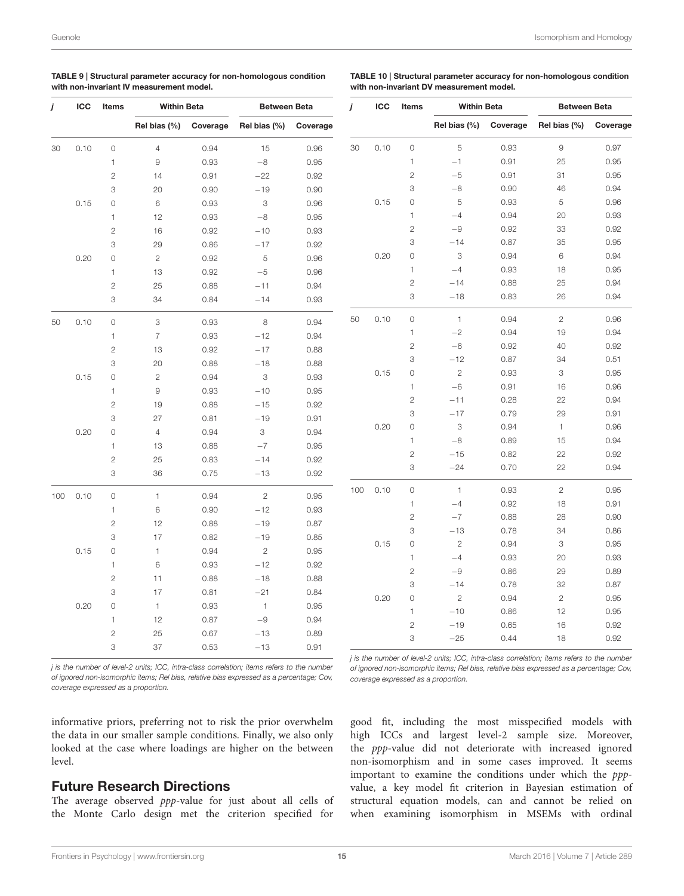| TABLE 9   Structural parameter accuracy for non-homologous condition |
|----------------------------------------------------------------------|
| with non-invariant IV measurement model.                             |

<span id="page-14-0"></span>TABLE 10 | Structural parameter accuracy for non-homologous condition with non-invariant DV measurement model.

| j   | ICC  | Items          | Within Beta            |          | <b>Between Beta</b> |          |
|-----|------|----------------|------------------------|----------|---------------------|----------|
|     |      |                | Rel bias (%)           | Coverage | Rel bias (%)        | Coverage |
| 30  | 0.10 | $\circ$        | $\overline{4}$         | 0.94     | 15                  | 0.96     |
|     |      | 1              | $\overline{9}$         | 0.93     | $-8$                | 0.95     |
|     |      | $\overline{c}$ | 14                     | 0.91     | $-22$               | 0.92     |
|     |      | 3              | 20                     | 0.90     | $-19$               | 0.90     |
|     | 0.15 | 0              | 6                      | 0.93     | 3                   | 0.96     |
|     |      | 1              | 12                     | 0.93     | $-8$                | 0.95     |
|     |      | $\overline{c}$ | 16                     | 0.92     | $-10$               | 0.93     |
|     |      | 3              | 29                     | 0.86     | $-17$               | 0.92     |
|     | 0.20 | 0              | $\mathbf{2}$           | 0.92     | 5                   | 0.96     |
|     |      | 1              | 13                     | 0.92     | $-5$                | 0.96     |
|     |      | $\overline{c}$ | 25                     | 0.88     | $-11$               | 0.94     |
|     |      | 3              | 34                     | 0.84     | $-14$               | 0.93     |
| 50  | 0.10 | 0              | 3                      | 0.93     | 8                   | 0.94     |
|     |      | 1              | $\overline{7}$         | 0.93     | $-12$               | 0.94     |
|     |      | $\overline{2}$ | 13                     | 0.92     | $-17$               | 0.88     |
|     |      | 3              | 20                     | 0.88     | $-18$               | 0.88     |
|     | 0.15 | 0              | $\mathbf{2}$           | 0.94     | 3                   | 0.93     |
|     |      | 1              | $\mathrel{\mathsf{g}}$ | 0.93     | $-10$               | 0.95     |
|     |      | $\overline{2}$ | 19                     | 0.88     | $-15$               | 0.92     |
|     |      | 3              | 27                     | 0.81     | $-19$               | 0.91     |
|     | 0.20 | 0              | $\overline{4}$         | 0.94     | 3                   | 0.94     |
|     |      | $\mathbf{1}$   | 13                     | 0.88     | $-7$                | 0.95     |
|     |      | $\overline{c}$ | 25                     | 0.83     | $-14$               | 0.92     |
|     |      | 3              | 36                     | 0.75     | $-13$               | 0.92     |
| 100 | 0.10 | 0              | 1                      | 0.94     | $\mathbf{2}$        | 0.95     |
|     |      | 1              | 6                      | 0.90     | $-12$               | 0.93     |
|     |      | $\overline{c}$ | 12                     | 0.88     | $-19$               | 0.87     |
|     |      | 3              | 17                     | 0.82     | $-19$               | 0.85     |
|     | 0.15 | $\circ$        | 1                      | 0.94     | $\mathbf{2}$        | 0.95     |
|     |      | 1              | 6                      | 0.93     | $-12$               | 0.92     |
|     |      | $\overline{c}$ | 11                     | 0.88     | $-18$               | 0.88     |
|     |      | 3              | 17                     | 0.81     | $-21$               | 0.84     |
|     | 0.20 | 0              | $\mathbf{1}$           | 0.93     | $\mathbf{1}$        | 0.95     |
|     |      | 1              | 12                     | 0.87     | $-9$                | 0.94     |
|     |      | $\overline{c}$ | 25                     | 0.67     | $-13$               | 0.89     |
|     |      | 3              | 37                     | 0.53     | $-13$               | 0.91     |

| j   | ICC  | Items          | Within Beta    |          | Between Beta |          |
|-----|------|----------------|----------------|----------|--------------|----------|
|     |      |                | Rel bias (%)   | Coverage | Rel bias (%) | Coverage |
| 30  | 0.10 | 0              | 5              | 0.93     | 9            | 0.97     |
|     |      | 1              | $-1$           | 0.91     | 25           | 0.95     |
|     |      | $\overline{c}$ | $-5$           | 0.91     | 31           | 0.95     |
|     |      | 3              | $^{-8}$        | 0.90     | 46           | 0.94     |
|     | 0.15 | 0              | 5              | 0.93     | 5            | 0.96     |
|     |      | 1              | $-4$           | 0.94     | 20           | 0.93     |
|     |      | $\overline{c}$ | $-9$           | 0.92     | 33           | 0.92     |
|     |      | 3              | $-14$          | 0.87     | 35           | 0.95     |
|     | 0.20 | 0              | 3              | 0.94     | 6            | 0.94     |
|     |      | 1              | $-4$           | 0.93     | 18           | 0.95     |
|     |      | $\overline{c}$ | $-14$          | 0.88     | 25           | 0.94     |
|     |      | 3              | $-18$          | 0.83     | 26           | 0.94     |
| 50  | 0.10 | 0              | $\mathbf{1}$   | 0.94     | $\mathbf{2}$ | 0.96     |
|     |      | 1              | $-2$           | 0.94     | 19           | 0.94     |
|     |      | $\overline{c}$ | $-6$           | 0.92     | 40           | 0.92     |
|     |      | 3              | $-12$          | 0.87     | 34           | 0.51     |
|     | 0.15 | 0              | $\overline{c}$ | 0.93     | 3            | 0.95     |
|     |      | 1              | $-6$           | 0.91     | 16           | 0.96     |
|     |      | $\overline{c}$ | $-11$          | 0.28     | 22           | 0.94     |
|     |      | 3              | $-17$          | 0.79     | 29           | 0.91     |
|     | 0.20 | 0              | 3              | 0.94     | $\mathbf{1}$ | 0.96     |
|     |      | 1              | $-8$           | 0.89     | 15           | 0.94     |
|     |      | $\overline{c}$ | $-15$          | 0.82     | 22           | 0.92     |
|     |      | 3              | $-24$          | 0.70     | 22           | 0.94     |
| 100 | 0.10 | 0              | 1              | 0.93     | $\mathbf{2}$ | 0.95     |
|     |      | 1              | $-4$           | 0.92     | 18           | 0.91     |
|     |      | $\overline{c}$ | $-7$           | 0.88     | 28           | 0.90     |
|     |      | 3              | $-13$          | 0.78     | 34           | 0.86     |
|     | 0.15 | 0              | $\mathbf{2}$   | 0.94     | 3            | 0.95     |
|     |      | 1              | $-4$           | 0.93     | 20           | 0.93     |
|     |      | $\overline{c}$ | $-9$           | 0.86     | 29           | 0.89     |
|     |      | 3              | $-14$          | 0.78     | 32           | 0.87     |
|     | 0.20 | 0              | $\mathbf{2}$   | 0.94     | $\mathbf{2}$ | 0.95     |
|     |      | 1              | $-10$          | 0.86     | 12           | 0.95     |
|     |      | $\overline{c}$ | $-19$          | 0.65     | 16           | 0.92     |
|     |      | 3              | $-25$          | 0.44     | 18           | 0.92     |

*j is the number of level-2 units; ICC, intra-class correlation; items refers to the number of ignored non-isomorphic items; Rel bias, relative bias expressed as a percentage; Cov, coverage expressed as a proportion.*

*j is the number of level-2 units; ICC, intra-class correlation; items refers to the number of ignored non-isomorphic items; Rel bias, relative bias expressed as a percentage; Cov, coverage expressed as a proportion.*

informative priors, preferring not to risk the prior overwhelm the data in our smaller sample conditions. Finally, we also only looked at the case where loadings are higher on the between level.

### Future Research Directions

The average observed ppp-value for just about all cells of the Monte Carlo design met the criterion specified for

good fit, including the most misspecified models with high ICCs and largest level-2 sample size. Moreover, the ppp-value did not deteriorate with increased ignored non-isomorphism and in some cases improved. It seems important to examine the conditions under which the pppvalue, a key model fit criterion in Bayesian estimation of structural equation models, can and cannot be relied on when examining isomorphism in MSEMs with ordinal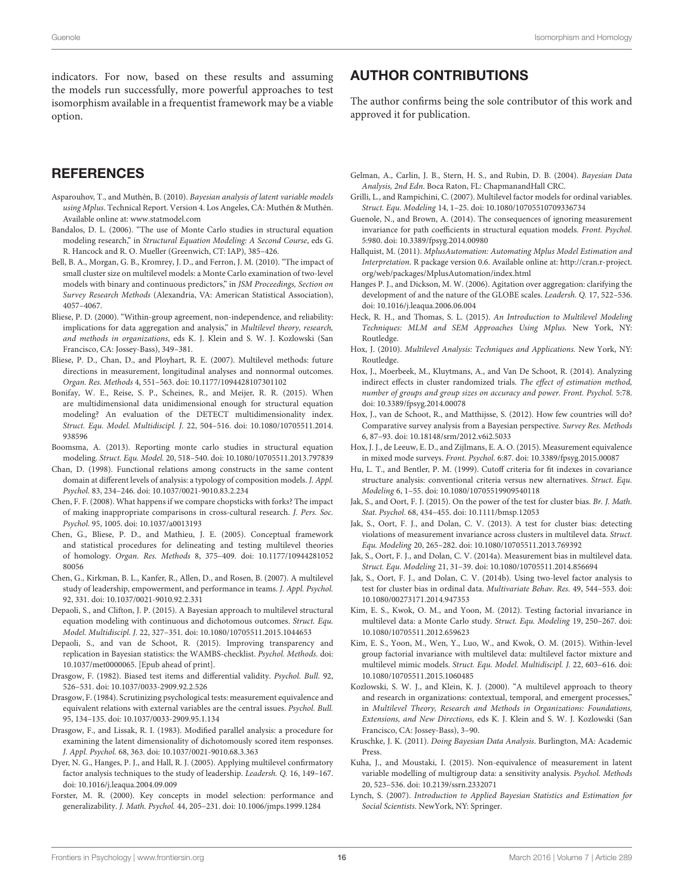indicators. For now, based on these results and assuming the models run successfully, more powerful approaches to test isomorphism available in a frequentist framework may be a viable option.

### **REFERENCES**

- <span id="page-15-35"></span>Asparouhov, T., and Muthén, B. (2010). Bayesian analysis of latent variable models using Mplus. Technical Report. Version 4. Los Angeles, CA: Muthén & Muthén. Available online at: [www.statmodel.com](http://www.statmodel.com)
- <span id="page-15-27"></span>Bandalos, D. L. (2006). "The use of Monte Carlo studies in structural equation modeling research," in Structural Equation Modeling: A Second Course, eds G. R. Hancock and R. O. Mueller (Greenwich, CT: IAP), 385–426.
- <span id="page-15-33"></span>Bell, B. A., Morgan, G. B., Kromrey, J. D., and Ferron, J. M. (2010). "The impact of small cluster size on multilevel models: a Monte Carlo examination of two-level models with binary and continuous predictors," in JSM Proceedings, Section on Survey Research Methods (Alexandria, VA: American Statistical Association), 4057–4067.
- <span id="page-15-9"></span>Bliese, P. D. (2000). "Within-group agreement, non-independence, and reliability: implications for data aggregation and analysis," in Multilevel theory, research, and methods in organizations, eds K. J. Klein and S. W. J. Kozlowski (San Francisco, CA: Jossey-Bass), 349–381.
- <span id="page-15-11"></span>Bliese, P. D., Chan, D., and Ployhart, R. E. (2007). Multilevel methods: future directions in measurement, longitudinal analyses and nonnormal outcomes. Organ. Res. Methods 4, 551–563. doi: 10.1177/1094428107301102
- <span id="page-15-19"></span>Bonifay, W. E., Reise, S. P., Scheines, R., and Meijer, R. R. (2015). When are multidimensional data unidimensional enough for structural equation modeling? An evaluation of the DETECT multidimensionality index. Struct. Equ. Model. Multidiscipl. J. 22, 504–516. doi: 10.1080/10705511.2014. 938596
- <span id="page-15-28"></span>Boomsma, A. (2013). Reporting monte carlo studies in structural equation modeling. Struct. Equ. Model. 20, 518–540. doi: 10.1080/10705511.2013.797839
- <span id="page-15-2"></span>Chan, D. (1998). Functional relations among constructs in the same content domain at different levels of analysis: a typology of composition models. J. Appl. Psychol. 83, 234–246. doi: 10.1037/0021-9010.83.2.234
- <span id="page-15-6"></span>Chen, F. F. (2008). What happens if we compare chopsticks with forks? The impact of making inappropriate comparisons in cross-cultural research. J. Pers. Soc. Psychol. 95, 1005. doi: 10.1037/a0013193
- <span id="page-15-3"></span>Chen, G., Bliese, P. D., and Mathieu, J. E. (2005). Conceptual framework and statistical procedures for delineating and testing multilevel theories of homology. Organ. Res. Methods 8, 375–409. doi: 10.1177/10944281052 80056
- <span id="page-15-32"></span>Chen, G., Kirkman, B. L., Kanfer, R., Allen, D., and Rosen, B. (2007). A multilevel study of leadership, empowerment, and performance in teams. J. Appl. Psychol. 92, 331. doi: 10.1037/0021-9010.92.2.331
- <span id="page-15-23"></span>Depaoli, S., and Clifton, J. P. (2015). A Bayesian approach to multilevel structural equation modeling with continuous and dichotomous outcomes. Struct. Equ. Model. Multidiscipl. J. 22, 327–351. doi: 10.1080/10705511.2015.1044653
- <span id="page-15-38"></span>Depaoli, S., and van de Schoot, R. (2015). Improving transparency and replication in Bayesian statistics: the WAMBS-checklist. Psychol. Methods. doi: 10.1037/met0000065. [Epub ahead of print].
- <span id="page-15-4"></span>Drasgow, F. (1982). Biased test items and differential validity. Psychol. Bull. 92, 526–531. doi: 10.1037/0033-2909.92.2.526
- <span id="page-15-5"></span>Drasgow, F. (1984). Scrutinizing psychological tests: measurement equivalence and equivalent relations with external variables are the central issues. Psychol. Bull. 95, 134–135. doi: 10.1037/0033-2909.95.1.134
- <span id="page-15-18"></span>Drasgow, F., and Lissak, R. I. (1983). Modified parallel analysis: a procedure for examining the latent dimensionality of dichotomously scored item responses. J. Appl. Psychol. 68, 363. doi: 10.1037/0021-9010.68.3.363
- <span id="page-15-1"></span>Dyer, N. G., Hanges, P. J., and Hall, R. J. (2005). Applying multilevel confirmatory factor analysis techniques to the study of leadership. Leadersh. Q. 16, 149–167. doi: 10.1016/j.leaqua.2004.09.009
- <span id="page-15-0"></span>Forster, M. R. (2000). Key concepts in model selection: performance and generalizability. J. Math. Psychol. 44, 205–231. doi: 10.1006/jmps.1999.1284

### AUTHOR CONTRIBUTIONS

The author confirms being the sole contributor of this work and approved it for publication.

- <span id="page-15-26"></span>Gelman, A., Carlin, J. B., Stern, H. S., and Rubin, D. B. (2004). Bayesian Data Analysis, 2nd Edn. Boca Raton, FL: ChapmanandHall CRC.
- <span id="page-15-22"></span>Grilli, L., and Rampichini, C. (2007). Multilevel factor models for ordinal variables. Struct. Equ. Modeling 14, 1–25. doi: 10.1080/10705510709336734
- <span id="page-15-7"></span>Guenole, N., and Brown, A. (2014). The consequences of ignoring measurement invariance for path coefficients in structural equation models. Front. Psychol. 5:980. doi: 10.3389/fpsyg.2014.00980
- <span id="page-15-34"></span>Hallquist, M. (2011). MplusAutomation: Automating Mplus Model Estimation and Interpretation. R package version 0.6. Available online at: [http://cran.r-project.](http://cran.r-project.org/web/packages/MplusAutomation/index.html) [org/web/packages/MplusAutomation/index.html](http://cran.r-project.org/web/packages/MplusAutomation/index.html)
- <span id="page-15-30"></span>Hanges P. J., and Dickson, M. W. (2006). Agitation over aggregation: clarifying the development of and the nature of the GLOBE scales. Leadersh. Q. 17, 522–536. doi: 10.1016/j.leaqua.2006.06.004
- <span id="page-15-31"></span>Heck, R. H., and Thomas, S. L. (2015). An Introduction to Multilevel Modeling Techniques: MLM and SEM Approaches Using Mplus. New York, NY: Routledge.
- <span id="page-15-21"></span>Hox, J. (2010). Multilevel Analysis: Techniques and Applications. New York, NY: Routledge.
- <span id="page-15-16"></span>Hox, J., Moerbeek, M., Kluytmans, A., and Van De Schoot, R. (2014). Analyzing indirect effects in cluster randomized trials. The effect of estimation method, number of groups and group sizes on accuracy and power. Front. Psychol. 5:78. doi: 10.3389/fpsyg.2014.00078
- <span id="page-15-15"></span>Hox, J., van de Schoot, R., and Matthijsse, S. (2012). How few countries will do? Comparative survey analysis from a Bayesian perspective. Survey Res. Methods 6, 87–93. doi: 10.18148/srm/2012.v6i2.5033
- <span id="page-15-8"></span>Hox, J. J., de Leeuw, E. D., and Zijlmans, E. A. O. (2015). Measurement equivalence in mixed mode surveys. Front. Psychol. 6:87. doi: 10.3389/fpsyg.2015.00087
- <span id="page-15-17"></span>Hu, L. T., and Bentler, P. M. (1999). Cutoff criteria for fit indexes in covariance structure analysis: conventional criteria versus new alternatives. Struct. Equ. Modeling 6, 1–55. doi: 10.1080/10705519909540118
- <span id="page-15-37"></span>Jak, S., and Oort, F. J. (2015). On the power of the test for cluster bias. Br. J. Math. Stat. Psychol. 68, 434–455. doi: 10.1111/bmsp.12053
- <span id="page-15-12"></span>Jak, S., Oort, F. J., and Dolan, C. V. (2013). A test for cluster bias: detecting violations of measurement invariance across clusters in multilevel data. Struct. Equ. Modeling 20, 265–282. doi: 10.1080/10705511.2013.769392
- <span id="page-15-13"></span>Jak, S., Oort, F. J., and Dolan, C. V. (2014a). Measurement bias in multilevel data. Struct. Equ. Modeling 21, 31–39. doi: 10.1080/10705511.2014.856694
- <span id="page-15-36"></span>Jak, S., Oort, F. J., and Dolan, C. V. (2014b). Using two-level factor analysis to test for cluster bias in ordinal data. Multivariate Behav. Res. 49, 544–553. doi: 10.1080/00273171.2014.947353
- <span id="page-15-29"></span>Kim, E. S., Kwok, O. M., and Yoon, M. (2012). Testing factorial invariance in multilevel data: a Monte Carlo study. Struct. Equ. Modeling 19, 250–267. doi: 10.1080/10705511.2012.659623
- <span id="page-15-14"></span>Kim, E. S., Yoon, M., Wen, Y., Luo, W., and Kwok, O. M. (2015). Within-level group factorial invariance with multilevel data: multilevel factor mixture and multilevel mimic models. Struct. Equ. Model. Multidiscipl. J. 22, 603–616. doi: 10.1080/10705511.2015.1060485
- <span id="page-15-10"></span>Kozlowski, S. W. J., and Klein, K. J. (2000). "A multilevel approach to theory and research in organizations: contextual, temporal, and emergent processes," in Multilevel Theory, Research and Methods in Organizations: Foundations, Extensions, and New Directions, eds K. J. Klein and S. W. J. Kozlowski (San Francisco, CA: Jossey-Bass), 3–90.
- <span id="page-15-24"></span>Kruschke, J. K. (2011). Doing Bayesian Data Analysis. Burlington, MA: Academic Press.
- <span id="page-15-20"></span>Kuha, J., and Moustaki, I. (2015). Non-equivalence of measurement in latent variable modelling of multigroup data: a sensitivity analysis. Psychol. Methods 20, 523–536. doi: 10.2139/ssrn.2332071
- <span id="page-15-25"></span>Lynch, S. (2007). Introduction to Applied Bayesian Statistics and Estimation for Social Scientists. NewYork, NY: Springer.